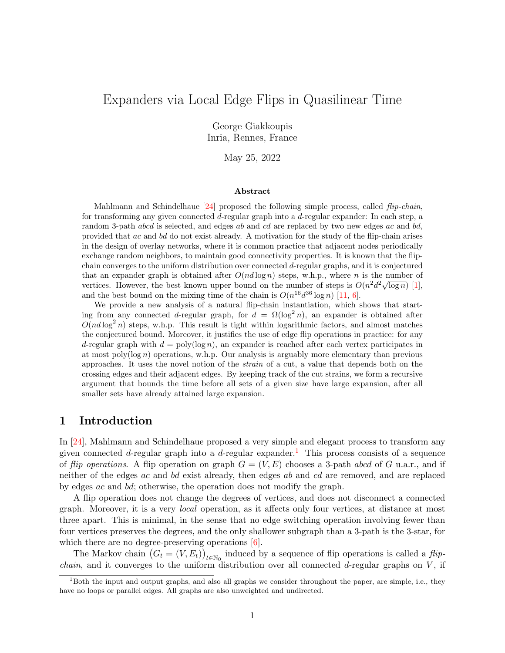# Expanders via Local Edge Flips in Quasilinear Time

George Giakkoupis Inria, Rennes, France

May 25, 2022

#### Abstract

Mahlmann and Schindelhaue  $[24]$  proposed the following simple process, called *flip-chain*, for transforming any given connected d-regular graph into a d-regular expander: In each step, a random 3-path *abcd* is selected, and edges ab and cd are replaced by two new edges ac and bd, provided that ac and bd do not exist already. A motivation for the study of the flip-chain arises in the design of overlay networks, where it is common practice that adjacent nodes periodically exchange random neighbors, to maintain good connectivity properties. It is known that the flipchain converges to the uniform distribution over connected  $d$ -regular graphs, and it is conjectured that an expander graph is obtained after  $O(nd \log n)$  steps, w.h.p., where n is the number of that an expander graph is obtained after  $O(na \log n)$  steps, w.n.p., where n is the number of steps is  $O(n^2d^2\sqrt{\log n})$  [\[1\]](#page-22-0), and the best bound on the mixing time of the chain is  $O(n^{16}d^{36}\log n)$  [\[11,](#page-23-0) [6\]](#page-23-1).

We provide a new analysis of a natural flip-chain instantiation, which shows that starting from any connected d-regular graph, for  $d = \Omega(\log^2 n)$ , an expander is obtained after  $O(nd \log^2 n)$  steps, w.h.p. This result is tight within logarithmic factors, and almost matches the conjectured bound. Moreover, it justifies the use of edge flip operations in practice: for any d-regular graph with  $d = \text{poly}(\log n)$ , an expander is reached after each vertex participates in at most poly( $\log n$ ) operations, w.h.p. Our analysis is arguably more elementary than previous approaches. It uses the novel notion of the strain of a cut, a value that depends both on the crossing edges and their adjacent edges. By keeping track of the cut strains, we form a recursive argument that bounds the time before all sets of a given size have large expansion, after all smaller sets have already attained large expansion.

## 1 Introduction

In [\[24\]](#page-24-0), Mahlmann and Schindelhaue proposed a very simple and elegant process to transform any given connected d-regular graph into a d-regular expander.<sup>[1](#page-0-0)</sup> This process consists of a sequence of flip operations. A flip operation on graph  $G = (V, E)$  chooses a 3-path abcd of G u.a.r., and if neither of the edges ac and bd exist already, then edges ab and cd are removed, and are replaced by edges ac and bd; otherwise, the operation does not modify the graph.

A flip operation does not change the degrees of vertices, and does not disconnect a connected graph. Moreover, it is a very local operation, as it affects only four vertices, at distance at most three apart. This is minimal, in the sense that no edge switching operation involving fewer than four vertices preserves the degrees, and the only shallower subgraph than a 3-path is the 3-star, for which there are no degree-preserving operations  $[6]$ .

The Markov chain  $(G_t = (V, E_t))_{t \in \mathbb{N}_0}$  induced by a sequence of flip operations is called a flip*chain*, and it converges to the uniform distribution over all connected d-regular graphs on  $V$ , if

<span id="page-0-0"></span> $1<sup>1</sup>$ Both the input and output graphs, and also all graphs we consider throughout the paper, are simple, i.e., they have no loops or parallel edges. All graphs are also unweighted and undirected.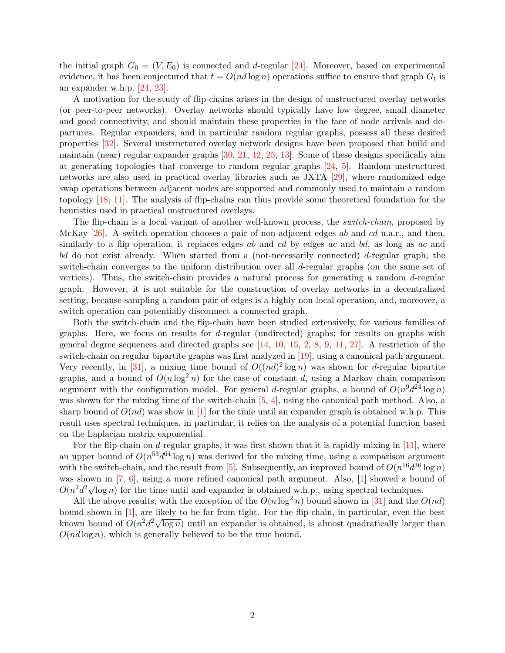the initial graph  $G_0 = (V, E_0)$  is connected and d-regular [\[24\]](#page-24-0). Moreover, based on experimental evidence, it has been conjectured that  $t = O(nd \log n)$  operations suffice to ensure that graph  $G_t$  is an expander w.h.p. [\[24,](#page-24-0) [23\]](#page-24-1).

A motivation for the study of flip-chains arises in the design of unstructured overlay networks (or peer-to-peer networks). Overlay networks should typically have low degree, small diameter and good connectivity, and should maintain these properties in the face of node arrivals and departures. Regular expanders, and in particular random regular graphs, possess all these desired properties [\[32\]](#page-24-2). Several unstructured overlay network designs have been proposed that build and maintain (near) regular expander graphs [\[30,](#page-24-3) [21,](#page-23-2) [12,](#page-23-3) [25,](#page-24-4) [13\]](#page-23-4). Some of these designs specifically aim at generating topologies that converge to random regular graphs [\[24,](#page-24-0) [5\]](#page-23-5). Random unstructured networks are also used in practical overlay libraries such as JXTA [\[29\]](#page-24-5), where randomized edge swap operations between adjacent nodes are supported and commonly used to maintain a random topology [\[18,](#page-23-6) [11\]](#page-23-0). The analysis of flip-chains can thus provide some theoretical foundation for the heuristics used in practical unstructured overlays.

The flip-chain is a local variant of another well-known process, the *switch-chain*, proposed by McKay  $[26]$ . A switch operation chooses a pair of non-adjacent edges ab and cd u.a.r., and then, similarly to a flip operation, it replaces edges ab and cd by edges ac and bd, as long as ac and bd do not exist already. When started from a (not-necessarily connected) d-regular graph, the switch-chain converges to the uniform distribution over all d-regular graphs (on the same set of vertices). Thus, the switch-chain provides a natural process for generating a random  $d$ -regular graph. However, it is not suitable for the construction of overlay networks in a decentralized setting, because sampling a random pair of edges is a highly non-local operation, and, moreover, a switch operation can potentially disconnect a connected graph.

Both the switch-chain and the flip-chain have been studied extensively, for various families of graphs. Here, we focus on results for d-regular (undirected) graphs; for results on graphs with general degree sequences and directed graphs see  $[14, 10, 15, 2, 8, 9, 11, 27]$  $[14, 10, 15, 2, 8, 9, 11, 27]$  $[14, 10, 15, 2, 8, 9, 11, 27]$  $[14, 10, 15, 2, 8, 9, 11, 27]$  $[14, 10, 15, 2, 8, 9, 11, 27]$  $[14, 10, 15, 2, 8, 9, 11, 27]$  $[14, 10, 15, 2, 8, 9, 11, 27]$  $[14, 10, 15, 2, 8, 9, 11, 27]$  $[14, 10, 15, 2, 8, 9, 11, 27]$  $[14, 10, 15, 2, 8, 9, 11, 27]$  $[14, 10, 15, 2, 8, 9, 11, 27]$  $[14, 10, 15, 2, 8, 9, 11, 27]$  $[14, 10, 15, 2, 8, 9, 11, 27]$  $[14, 10, 15, 2, 8, 9, 11, 27]$ . A restriction of the switch-chain on regular bipartite graphs was first analyzed in [\[19\]](#page-23-12), using a canonical path argument. Very recently, in [\[31\]](#page-24-8), a mixing time bound of  $O((nd)^2 \log n)$  was shown for d-regular bipartite graphs, and a bound of  $O(n \log^2 n)$  for the case of constant d, using a Markov chain comparison argument with the configuration model. For general d-regular graphs, a bound of  $O(n^9d^{24}\log n)$ was shown for the mixing time of the switch-chain  $[5, 4]$  $[5, 4]$ , using the canonical path method. Also, a sharp bound of  $O(nd)$  was show in [\[1\]](#page-22-0) for the time until an expander graph is obtained w.h.p. This result uses spectral techniques, in particular, it relies on the analysis of a potential function based on the Laplacian matrix exponential.

For the flip-chain on d-regular graphs, it was first shown that it is rapidly-mixing in  $[11]$ , where an upper bound of  $O(n^{53}d^{64}\log n)$  was derived for the mixing time, using a comparison argument with the switch-chain, and the result from [\[5\]](#page-23-5). Subsequently, an improved bound of  $O(n^{16}d^{36}\log n)$ was shown in  $[7, 6]$  $[7, 6]$ , using a more refined canonical path argument. Also,  $[1]$  showed a bound of was shown in [1, 0], using a more refined canonical path argument. Also, [1] showed a bod  $O(n^2d^2\sqrt{\log n})$  for the time until and expander is obtained w.h.p., using spectral techniques.

All the above results, with the exception of the  $O(n \log^2 n)$  bound shown in [\[31\]](#page-24-8) and the  $O(nd)$ bound shown in [\[1\]](#page-22-0), are likely to be far from tight. For the flip-chain, in particular, even the best bound shown in [1], are likely to be far from tight. For the inp-chain, in particular, even the best<br>known bound of  $O(n^2d^2\sqrt{\log n})$  until an expander is obtained, is almost quadratically larger than  $O(nd \log n)$ , which is generally believed to be the true bound.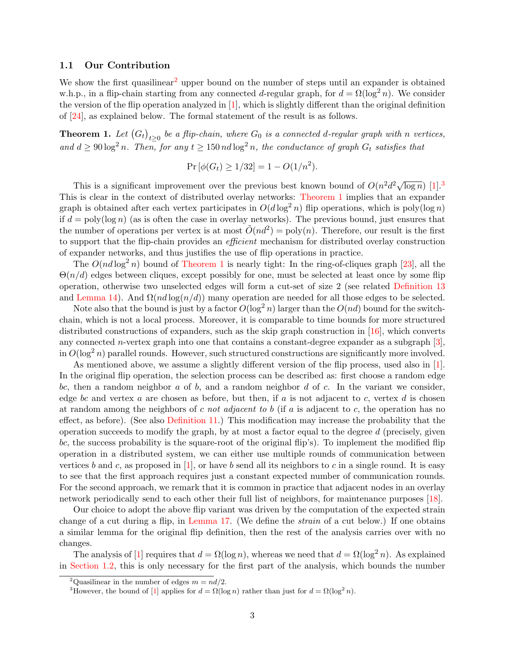### 1.1 Our Contribution

We show the first quasilinear<sup>[2](#page-2-0)</sup> upper bound on the number of steps until an expander is obtained w.h.p., in a flip-chain starting from any connected d-regular graph, for  $d = \Omega(\log^2 n)$ . We consider the version of the flip operation analyzed in [\[1\]](#page-22-0), which is slightly different than the original definition of [\[24\]](#page-24-0), as explained below. The formal statement of the result is as follows.

<span id="page-2-2"></span>**Theorem 1.** Let  $(G_t)_{t\geq 0}$  be a flip-chain, where  $G_0$  is a connected d-regular graph with n vertices, and  $d \geq 90 \log^2 n$ . Then, for any  $t \geq 150 \text{ nd } \log^2 n$ , the conductance of graph  $G_t$  satisfies that

$$
Pr[\phi(G_t) \ge 1/32] = 1 - O(1/n^2).
$$

This is a significant improvement over the previous best known bound of  $O(n^2 d^2 \sqrt{\log n})$  [\[1\]](#page-22-0).<sup>[3](#page-2-1)</sup> This is clear in the context of distributed overlay networks: [Theorem 1](#page-2-2) implies that an expander graph is obtained after each vertex participates in  $O(d \log^2 n)$  flip operations, which is poly $(\log n)$ if  $d = \text{poly}(\log n)$  (as is often the case in overlay networks). The previous bound, just ensures that the number of operations per vertex is at most  $\tilde{O}(nd^2) = \text{poly}(n)$ . Therefore, our result is the first to support that the flip-chain provides an *efficient* mechanism for distributed overlay construction of expander networks, and thus justifies the use of flip operations in practice.

The  $O(nd \log^2 n)$  bound of [Theorem 1](#page-2-2) is nearly tight: In the ring-of-cliques graph [\[23\]](#page-24-1), all the  $\Theta(n/d)$  edges between cliques, except possibly for one, must be selected at least once by some flip operation, otherwise two unselected edges will form a cut-set of size 2 (see related [Definition 13](#page-8-0) and [Lemma 14\)](#page-8-1). And  $\Omega(nd \log(n/d))$  many operation are needed for all those edges to be selected.

Note also that the bound is just by a factor  $O(\log^2 n)$  larger than the  $O(nd)$  bound for the switchchain, which is not a local process. Moreover, it is comparable to time bounds for more structured distributed constructions of expanders, such as the skip graph construction in [\[16\]](#page-23-15), which converts any connected n-vertex graph into one that contains a constant-degree expander as a subgraph [\[3\]](#page-22-2), in  $O(\log^2 n)$  parallel rounds. However, such structured constructions are significantly more involved.

As mentioned above, we assume a slightly different version of the flip process, used also in [\[1\]](#page-22-0). In the original flip operation, the selection process can be described as: first choose a random edge bc, then a random neighbor  $a$  of  $b$ , and a random neighbor  $d$  of  $c$ . In the variant we consider, edge bc and vertex  $a$  are chosen as before, but then, if  $a$  is not adjacent to  $c$ , vertex  $d$  is chosen at random among the neighbors of c not adjacent to b (if a is adjacent to c, the operation has no effect, as before). (See also [Definition 11.](#page-7-0)) This modification may increase the probability that the operation succeeds to modify the graph, by at most a factor equal to the degree  $d$  (precisely, given bc, the success probability is the square-root of the original flip's). To implement the modified flip operation in a distributed system, we can either use multiple rounds of communication between vertices b and c, as proposed in [\[1\]](#page-22-0), or have b send all its neighbors to c in a single round. It is easy to see that the first approach requires just a constant expected number of communication rounds. For the second approach, we remark that it is common in practice that adjacent nodes in an overlay network periodically send to each other their full list of neighbors, for maintenance purposes [\[18\]](#page-23-6).

Our choice to adopt the above flip variant was driven by the computation of the expected strain change of a cut during a flip, in [Lemma 17.](#page-9-0) (We define the strain of a cut below.) If one obtains a similar lemma for the original flip definition, then the rest of the analysis carries over with no changes.

The analysis of [\[1\]](#page-22-0) requires that  $d = \Omega(\log n)$ , whereas we need that  $d = \Omega(\log^2 n)$ . As explained in [Section 1.2,](#page-3-0) this is only necessary for the first part of the analysis, which bounds the number

<span id="page-2-0"></span><sup>&</sup>lt;sup>2</sup>Quasilinear in the number of edges  $m = nd/2$ .

<span id="page-2-1"></span><sup>&</sup>lt;sup>3</sup>However, the bound of [\[1\]](#page-22-0) applies for  $d = \Omega(\log n)$  rather than just for  $d = \Omega(\log^2 n)$ .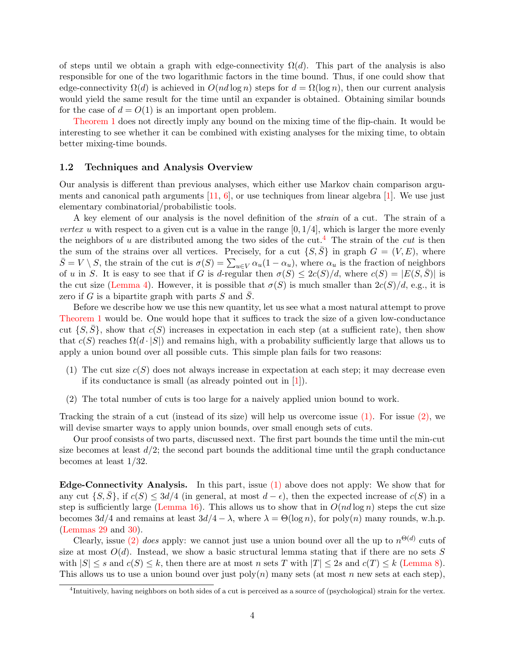of steps until we obtain a graph with edge-connectivity  $\Omega(d)$ . This part of the analysis is also responsible for one of the two logarithmic factors in the time bound. Thus, if one could show that edge-connectivity  $\Omega(d)$  is achieved in  $O(nd \log n)$  steps for  $d = \Omega(\log n)$ , then our current analysis would yield the same result for the time until an expander is obtained. Obtaining similar bounds for the case of  $d = O(1)$  is an important open problem.

[Theorem 1](#page-2-2) does not directly imply any bound on the mixing time of the flip-chain. It would be interesting to see whether it can be combined with existing analyses for the mixing time, to obtain better mixing-time bounds.

#### <span id="page-3-0"></span>1.2 Techniques and Analysis Overview

Our analysis is different than previous analyses, which either use Markov chain comparison arguments and canonical path arguments  $[11, 6]$  $[11, 6]$ , or use techniques from linear algebra  $[1]$ . We use just elementary combinatorial/probabilistic tools.

A key element of our analysis is the novel definition of the strain of a cut. The strain of a vertex u with respect to a given cut is a value in the range  $[0, 1/4]$ , which is larger the more evenly the neighbors of u are distributed among the two sides of the cut.<sup>[4](#page-3-1)</sup> The strain of the *cut* is then the sum of the strains over all vertices. Precisely, for a cut  $\{S, \overline{S}\}\$ in graph  $G = (V, E)$ , where  $\bar{S} = V \setminus S$ , the strain of the cut is  $\sigma(S) = \sum_{u \in V} \alpha_u (1 - \alpha_u)$ , where  $\alpha_u$  is the fraction of neighbors of u in S. It is easy to see that if G is d-regular then  $\sigma(S) \leq 2c(S)/d$ , where  $c(S) = |E(S, \overline{S})|$  is the cut size [\(Lemma 4\)](#page-5-0). However, it is possible that  $\sigma(S)$  is much smaller than  $2c(S)/d$ , e.g., it is zero if G is a bipartite graph with parts  $S$  and  $S$ .

Before we describe how we use this new quantity, let us see what a most natural attempt to prove [Theorem 1](#page-2-2) would be. One would hope that it suffices to track the size of a given low-conductance cut  $\{S, \overline{S}\}$ , show that  $c(S)$  increases in expectation in each step (at a sufficient rate), then show that  $c(S)$  reaches  $\Omega(d \cdot |S|)$  and remains high, with a probability sufficiently large that allows us to apply a union bound over all possible cuts. This simple plan fails for two reasons:

- <span id="page-3-2"></span>(1) The cut size  $c(S)$  does not always increase in expectation at each step; it may decrease even if its conductance is small (as already pointed out in  $[1]$ ).
- <span id="page-3-3"></span>(2) The total number of cuts is too large for a naively applied union bound to work.

Tracking the strain of a cut (instead of its size) will help us overcome issue  $(1)$ . For issue  $(2)$ , we will devise smarter ways to apply union bounds, over small enough sets of cuts.

Our proof consists of two parts, discussed next. The first part bounds the time until the min-cut size becomes at least  $d/2$ ; the second part bounds the additional time until the graph conductance becomes at least 1/32.

Edge-Connectivity Analysis. In this part, issue [\(1\)](#page-3-2) above does not apply: We show that for any cut  $\{S, \overline{S}\}\,$  if  $c(S) \leq 3d/4$  (in general, at most  $d - \epsilon$ ), then the expected increase of  $c(S)$  in a step is sufficiently large [\(Lemma 16\)](#page-9-1). This allows us to show that in  $O(nd \log n)$  steps the cut size becomes  $3d/4$  and remains at least  $3d/4 - \lambda$ , where  $\lambda = \Theta(\log n)$ , for poly $(n)$  many rounds, w.h.p. [\(Lemmas 29](#page-16-0) and [30\)](#page-17-0).

Clearly, issue [\(2\)](#page-3-3) does apply: we cannot just use a union bound over all the up to  $n^{\Theta(d)}$  cuts of size at most  $O(d)$ . Instead, we show a basic structural lemma stating that if there are no sets S with  $|S| \leq s$  and  $c(S) \leq k$ , then there are at most n sets T with  $|T| \leq 2s$  and  $c(T) \leq k$  [\(Lemma 8\)](#page-6-0). This allows us to use a union bound over just  $\text{poly}(n)$  many sets (at most n new sets at each step),

<span id="page-3-1"></span><sup>4</sup> Intuitively, having neighbors on both sides of a cut is perceived as a source of (psychological) strain for the vertex.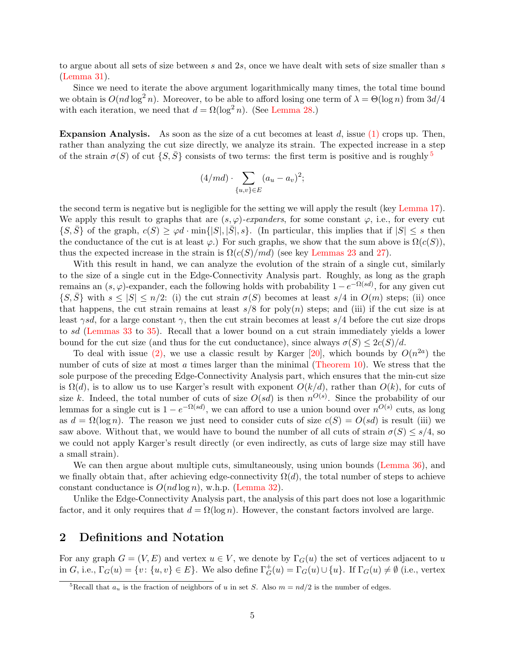to argue about all sets of size between s and 2s, once we have dealt with sets of size smaller than s [\(Lemma 31\)](#page-17-1).

Since we need to iterate the above argument logarithmically many times, the total time bound we obtain is  $O(nd \log^2 n)$ . Moreover, to be able to afford losing one term of  $\lambda = \Theta(\log n)$  from  $3d/4$ with each iteration, we need that  $d = \Omega(\log^2 n)$ . (See [Lemma 28.](#page-15-0))

**Expansion Analysis.** As soon as the size of a cut becomes at least d, issue  $(1)$  crops up. Then, rather than analyzing the cut size directly, we analyze its strain. The expected increase in a step of the strain  $\sigma(S)$  of cut  $\{S, \overline{S}\}$  consists of two terms: the first term is positive and is roughly <sup>[5](#page-4-0)</sup>

$$
(4/md) \cdot \sum_{\{u,v\} \in E} (a_u - a_v)^2;
$$

the second term is negative but is negligible for the setting we will apply the result (key [Lemma 17\)](#page-9-0). We apply this result to graphs that are  $(s, \varphi)$ -expanders, for some constant  $\varphi$ , i.e., for every cut  $\{S,\bar{S}\}\$  of the graph,  $c(S) \geq \varphi d \cdot \min\{|S|, |\bar{S}|, s\}.$  (In particular, this implies that if  $|S| \leq s$  then the conductance of the cut is at least  $\varphi$ .) For such graphs, we show that the sum above is  $\Omega(c(S))$ , thus the expected increase in the strain is  $\Omega(c(S)/md)$  (see key [Lemmas 23](#page-13-0) and [27\)](#page-14-0).

With this result in hand, we can analyze the evolution of the strain of a single cut, similarly to the size of a single cut in the Edge-Connectivity Analysis part. Roughly, as long as the graph remains an  $(s, \varphi)$ -expander, each the following holds with probability  $1 - e^{-\Omega(s_d)}$ , for any given cut  $\{S, \overline{S}\}\$  with  $s \leq |S| \leq n/2$ : (i) the cut strain  $\sigma(S)$  becomes at least  $s/4$  in  $O(m)$  steps; (ii) once that happens, the cut strain remains at least  $s/8$  for poly $(n)$  steps; and (iii) if the cut size is at least  $\gamma sd$ , for a large constant  $\gamma$ , then the cut strain becomes at least  $s/4$  before the cut size drops to sd [\(Lemmas 33](#page-19-0) to [35\)](#page-20-0). Recall that a lower bound on a cut strain immediately yields a lower bound for the cut size (and thus for the cut conductance), since always  $\sigma(S) \leq 2c(S)/d$ .

To deal with issue [\(2\),](#page-3-3) we use a classic result by Karger [\[20\]](#page-23-16), which bounds by  $O(n^{2a})$  the number of cuts of size at most  $\alpha$  times larger than the minimal [\(Theorem 10\)](#page-7-1). We stress that the sole purpose of the preceding Edge-Connectivity Analysis part, which ensures that the min-cut size is  $\Omega(d)$ , is to allow us to use Karger's result with exponent  $O(k/d)$ , rather than  $O(k)$ , for cuts of size k. Indeed, the total number of cuts of size  $O(sd)$  is then  $n^{O(s)}$ . Since the probability of our lemmas for a single cut is  $1 - e^{-\Omega(sd)}$ , we can afford to use a union bound over  $n^{O(s)}$  cuts, as long as  $d = \Omega(\log n)$ . The reason we just need to consider cuts of size  $c(S) = O(s d)$  is result (iii) we saw above. Without that, we would have to bound the number of all cuts of strain  $\sigma(S) \leq s/4$ , so we could not apply Karger's result directly (or even indirectly, as cuts of large size may still have a small strain).

We can then argue about multiple cuts, simultaneously, using union bounds [\(Lemma 36\)](#page-21-0), and we finally obtain that, after achieving edge-connectivity  $\Omega(d)$ , the total number of steps to achieve constant conductance is  $O(nd \log n)$ , w.h.p. [\(Lemma 32\)](#page-19-1).

Unlike the Edge-Connectivity Analysis part, the analysis of this part does not lose a logarithmic factor, and it only requires that  $d = \Omega(\log n)$ . However, the constant factors involved are large.

## 2 Definitions and Notation

For any graph  $G = (V, E)$  and vertex  $u \in V$ , we denote by  $\Gamma_G(u)$  the set of vertices adjacent to u in G, i.e.,  $\Gamma_G(u) = \{v: \{u, v\} \in E\}$ . We also define  $\Gamma_G^+(u) = \Gamma_G(u) \cup \{u\}$ . If  $\Gamma_G(u) \neq \emptyset$  (i.e., vertex

<span id="page-4-0"></span><sup>&</sup>lt;sup>5</sup>Recall that  $a_u$  is the fraction of neighbors of u in set S. Also  $m = nd/2$  is the number of edges.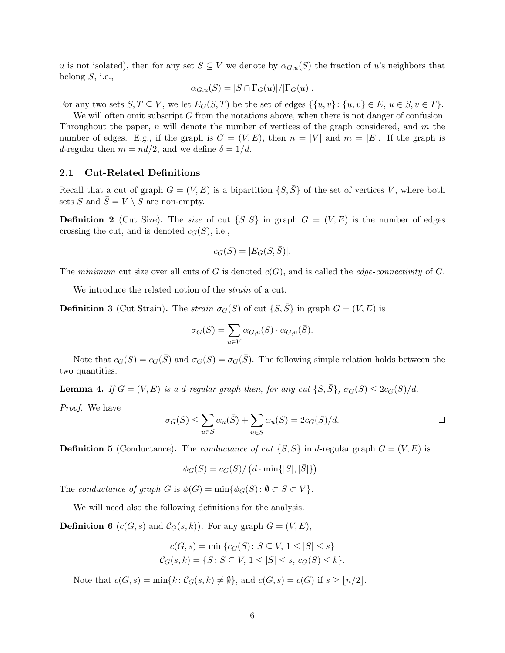u is not isolated), then for any set  $S \subseteq V$  we denote by  $\alpha_{G,u}(S)$  the fraction of u's neighbors that belong  $S$ , i.e.,

$$
\alpha_{G,u}(S) = |S \cap \Gamma_G(u)| / |\Gamma_G(u)|.
$$

For any two sets  $S, T \subseteq V$ , we let  $E_G(S, T)$  be the set of edges  $\{\{u, v\} : \{u, v\} \in E, u \in S, v \in T\}$ .

We will often omit subscript G from the notations above, when there is not danger of confusion. Throughout the paper,  $n$  will denote the number of vertices of the graph considered, and  $m$  the number of edges. E.g., if the graph is  $G = (V, E)$ , then  $n = |V|$  and  $m = |E|$ . If the graph is d-regular then  $m = nd/2$ , and we define  $\delta = 1/d$ .

#### 2.1 Cut-Related Definitions

Recall that a cut of graph  $G = (V, E)$  is a bipartition  $\{S, \overline{S}\}\$  of the set of vertices V, where both sets S and  $\overline{S} = V \setminus S$  are non-empty.

**Definition 2** (Cut Size). The size of cut  $\{S, \overline{S}\}\$ in graph  $G = (V, E)$  is the number of edges crossing the cut, and is denoted  $c_G(S)$ , i.e.,

$$
c_G(S) = |E_G(S, \bar{S})|.
$$

The minimum cut size over all cuts of G is denoted  $c(G)$ , and is called the *edge-connectivity* of G.

We introduce the related notion of the strain of a cut.

**Definition 3** (Cut Strain). The *strain*  $\sigma_G(S)$  of cut  $\{S, S\}$  in graph  $G = (V, E)$  is

$$
\sigma_G(S) = \sum_{u \in V} \alpha_{G,u}(S) \cdot \alpha_{G,u}(\bar{S}).
$$

Note that  $c_G(S) = c_G(\overline{S})$  and  $\sigma_G(S) = \sigma_G(\overline{S})$ . The following simple relation holds between the two quantities.

<span id="page-5-0"></span>**Lemma 4.** If  $G = (V, E)$  is a d-regular graph then, for any cut  $\{S, \overline{S}\}, \sigma_G(S) \leq 2c_G(S)/d$ .

Proof. We have

$$
\sigma_G(S) \le \sum_{u \in S} \alpha_u(\bar{S}) + \sum_{u \in \bar{S}} \alpha_u(S) = 2c_G(S)/d.
$$

**Definition 5** (Conductance). The *conductance of cut*  $\{S, \overline{S}\}\$ in *d*-regular graph  $G = (V, E)$  is

$$
\phi_G(S) = c_G(S)/\left(d \cdot \min\{|S|, |\bar{S}|\}\right).
$$

The conductance of graph G is  $\phi(G) = \min{\{\phi_G(S) : \emptyset \subset S \subset V\}}$ .

We will need also the following definitions for the analysis.

**Definition 6** ( $c(G, s)$  and  $C_G(s, k)$ ). For any graph  $G = (V, E)$ ,

$$
c(G, s) = \min\{c_G(S) : S \subseteq V, 1 \le |S| \le s\}
$$
  

$$
C_G(s, k) = \{S : S \subseteq V, 1 \le |S| \le s, c_G(S) \le k\}.
$$

<span id="page-5-1"></span>Note that  $c(G, s) = \min\{k : C_G(s, k) \neq \emptyset\}$ , and  $c(G, s) = c(G)$  if  $s \geq \lfloor n/2 \rfloor$ .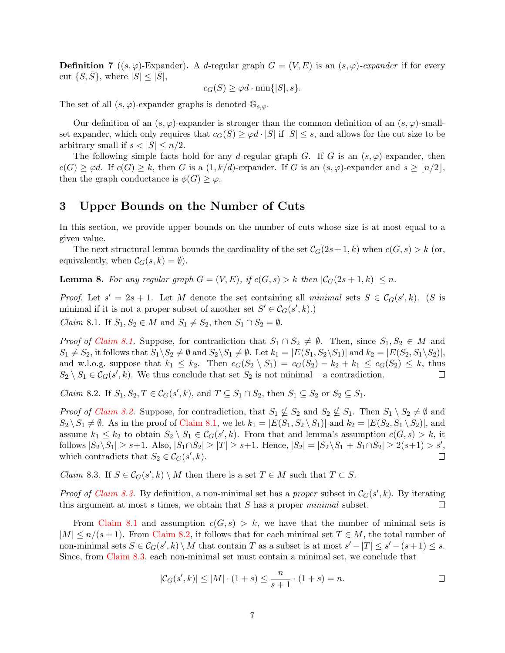**Definition 7** ((s,  $\varphi$ )-Expander). A d-regular graph  $G = (V, E)$  is an  $(s, \varphi)$ -expander if for every cut  $\{S, \overline{S}\},\$  where  $|S| \leq |\overline{S}|,$ 

$$
c_G(S) \ge \varphi d \cdot \min\{|S|, s\}.
$$

The set of all  $(s, \varphi)$ -expander graphs is denoted  $\mathbb{G}_{s,\varphi}$ .

Our definition of an  $(s, \varphi)$ -expander is stronger than the common definition of an  $(s, \varphi)$ -smallset expander, which only requires that  $c_G(S) \geq \varphi d \cdot |S|$  if  $|S| \leq s$ , and allows for the cut size to be arbitrary small if  $s < |S| \leq n/2$ .

The following simple facts hold for any d-regular graph G. If G is an  $(s, \varphi)$ -expander, then  $c(G) \geq \varphi d$ . If  $c(G) \geq k$ , then G is a  $(1, k/d)$ -expander. If G is an  $(s, \varphi)$ -expander and  $s \geq |n/2|$ , then the graph conductance is  $\phi(G) \geq \varphi$ .

## 3 Upper Bounds on the Number of Cuts

In this section, we provide upper bounds on the number of cuts whose size is at most equal to a given value.

The next structural lemma bounds the cardinality of the set  $\mathcal{C}_G(2s+1, k)$  when  $c(G, s) > k$  (or, equivalently, when  $C_G(s, k) = \emptyset$ .

<span id="page-6-0"></span>**Lemma 8.** For any regular graph  $G = (V, E)$ , if  $c(G, s) > k$  then  $|\mathcal{C}_G(2s + 1, k)| < n$ .

*Proof.* Let  $s' = 2s + 1$ . Let M denote the set containing all minimal sets  $S \in C_G(s', k)$ . (S is minimal if it is not a proper subset of another set  $S' \in \mathcal{C}_G(s', k)$ .

<span id="page-6-1"></span>*Claim* 8.1. If  $S_1, S_2 \in M$  and  $S_1 \neq S_2$ , then  $S_1 \cap S_2 = \emptyset$ .

Proof of [Claim 8.1.](#page-6-1) Suppose, for contradiction that  $S_1 \cap S_2 \neq \emptyset$ . Then, since  $S_1, S_2 \in M$  and  $S_1 \neq S_2$ , it follows that  $S_1 \backslash S_2 \neq \emptyset$  and  $S_2 \backslash S_1 \neq \emptyset$ . Let  $k_1 = |E(S_1, S_2 \backslash S_1)|$  and  $k_2 = |E(S_2, S_1 \backslash S_2)|$ , and w.l.o.g. suppose that  $k_1 \leq k_2$ . Then  $c_G(S_2 \setminus S_1) = c_G(S_2) - k_2 + k_1 \leq c_G(S_2) \leq k$ , thus  $S_2 \setminus S_1 \in \mathcal{C}_G(s',k)$ . We thus conclude that set  $S_2$  is not minimal – a contradiction. П

<span id="page-6-2"></span>*Claim* 8.2. If  $S_1, S_2, T \in C_G(s', k)$ , and  $T \subseteq S_1 \cap S_2$ , then  $S_1 \subseteq S_2$  or  $S_2 \subseteq S_1$ .

*Proof of [Claim 8.2.](#page-6-2)* Suppose, for contradiction, that  $S_1 \nsubseteq S_2$  and  $S_2 \nsubseteq S_1$ . Then  $S_1 \setminus S_2 \neq \emptyset$  and  $S_2 \setminus S_1 \neq \emptyset$ . As in the proof of [Claim 8.1,](#page-6-1) we let  $k_1 = |E(S_1, S_2 \setminus S_1)|$  and  $k_2 = |E(S_2, S_1 \setminus S_2)|$ , and assume  $k_1 \leq k_2$  to obtain  $S_2 \setminus S_1 \in C_G(s', k)$ . From that and lemma's assumption  $c(G, s) > k$ , it follows  $|S_2 \setminus S_1|$  ≥ s+1. Also,  $|S_1 \cap S_2|$  ≥  $|T|$  ≥ s+1. Hence,  $|S_2|$  =  $|S_2 \setminus S_1|$ + $|S_1 \cap S_2|$  ≥ 2(s+1) > s', which contradicts that  $S_2 \in C_G(s', k)$ .  $\Box$ 

<span id="page-6-3"></span>*Claim* 8.3. If  $S \in \mathcal{C}_G(s', k) \setminus M$  then there is a set  $T \in M$  such that  $T \subset S$ .

*Proof of [Claim 8.3.](#page-6-3)* By definition, a non-minimal set has a *proper* subset in  $\mathcal{C}_G(s',k)$ . By iterating this argument at most s times, we obtain that S has a proper *minimal* subset.  $\Box$ 

From [Claim 8.1](#page-6-1) and assumption  $c(G, s) > k$ , we have that the number of minimal sets is  $|M| \leq n/(s+1)$ . From [Claim 8.2,](#page-6-2) it follows that for each minimal set  $T \in M$ , the total number of non-minimal sets  $S \in \mathcal{C}_G(s',k) \setminus M$  that contain T as a subset is at most  $s'-|T| \leq s'-(s+1) \leq s$ . Since, from [Claim 8.3,](#page-6-3) each non-minimal set must contain a minimal set, we conclude that

$$
|\mathcal{C}_G(s',k)| \le |M| \cdot (1+s) \le \frac{n}{s+1} \cdot (1+s) = n.
$$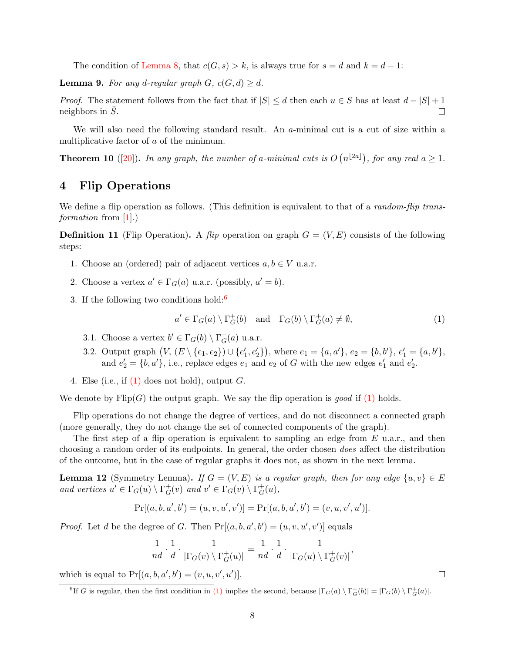The condition of [Lemma 8,](#page-6-0) that  $c(G, s) > k$ , is always true for  $s = d$  and  $k = d - 1$ :

<span id="page-7-5"></span>**Lemma 9.** For any d-regular graph  $G$ ,  $c(G,d) \geq d$ .

*Proof.* The statement follows from the fact that if  $|S| \le d$  then each  $u \in S$  has at least  $d - |S| + 1$ neighbors in  $S$ .  $\Box$ 

We will also need the following standard result. An a-minimal cut is a cut of size within a multiplicative factor of a of the minimum.

<span id="page-7-1"></span>**Theorem 10** ([\[20\]](#page-23-16)). In any graph, the number of a-minimal cuts is  $O(n^{\lfloor 2a \rfloor})$ , for any real  $a \ge 1$ .

## 4 Flip Operations

We define a flip operation as follows. (This definition is equivalent to that of a *random-flip trans-*formation from [\[1\]](#page-22-0).)

<span id="page-7-0"></span>**Definition 11** (Flip Operation). A *flip* operation on graph  $G = (V, E)$  consists of the following steps:

- 1. Choose an (ordered) pair of adjacent vertices  $a, b \in V$  u.a.r.
- 2. Choose a vertex  $a' \in \Gamma_G(a)$  u.a.r. (possibly,  $a' = b$ ).
- 3. If the following two conditions hold:<sup>[6](#page-7-2)</sup>

<span id="page-7-3"></span>
$$
a' \in \Gamma_G(a) \setminus \Gamma_G^+(b) \quad \text{and} \quad \Gamma_G(b) \setminus \Gamma_G^+(a) \neq \emptyset,
$$
 (1)

- 3.1. Choose a vertex  $b' \in \Gamma_G(b) \setminus \Gamma_G^+$  $_G^+(a)$  u.a.r.
- 3.2. Output graph  $(V, (E \setminus \{e_1, e_2\}) \cup \{e'_1, e'_2\})$ , where  $e_1 = \{a, a'\}, e_2 = \{b, b'\}, e'_1 = \{a, b'\},\$ and  $e'_2 = \{b, a'\}$ , i.e., replace edges  $e_1$  and  $e_2$  of G with the new edges  $e'_1$  and  $e'_2$ .
- 4. Else (i.e., if  $(1)$  does not hold), output  $G$ .

We denote by  $\text{Flip}(G)$  the output graph. We say the flip operation is good if [\(1\)](#page-7-3) holds.

Flip operations do not change the degree of vertices, and do not disconnect a connected graph (more generally, they do not change the set of connected components of the graph).

The first step of a flip operation is equivalent to sampling an edge from  $E$  u.a.r., and then choosing a random order of its endpoints. In general, the order chosen does affect the distribution of the outcome, but in the case of regular graphs it does not, as shown in the next lemma.

<span id="page-7-4"></span>**Lemma 12** (Symmetry Lemma). If  $G = (V, E)$  is a regular graph, then for any edge  $\{u, v\} \in E$ and vertices  $u' \in \Gamma_G(u) \setminus \Gamma_G^+$  $_G^+(v)$  and  $v' \in \Gamma_G(v) \setminus \Gamma_G^+$  $G^+(u)$ ,

$$
\Pr[(a, b, a', b') = (u, v, u', v')] = \Pr[(a, b, a', b') = (v, u, v', u')].
$$

*Proof.* Let d be the degree of G. Then  $Pr[(a, b, a', b') = (u, v, u', v')]$  equals

$$
\frac{1}{nd} \cdot \frac{1}{d} \cdot \frac{1}{|\Gamma_G(v) \setminus \Gamma_G^+(u)|} = \frac{1}{nd} \cdot \frac{1}{d} \cdot \frac{1}{|\Gamma_G(u) \setminus \Gamma_G^+(v)|},
$$

which is equal to  $Pr[(a, b, a', b') = (v, u, v', u')]$ .

<span id="page-7-2"></span><sup>&</sup>lt;sup>6</sup>If G is regular, then the first condition in [\(1\)](#page-7-3) implies the second, because  $|\Gamma_G(a) \setminus \Gamma_G^+(b)| = |\Gamma_G(b) \setminus \Gamma_G^+(a)|$ .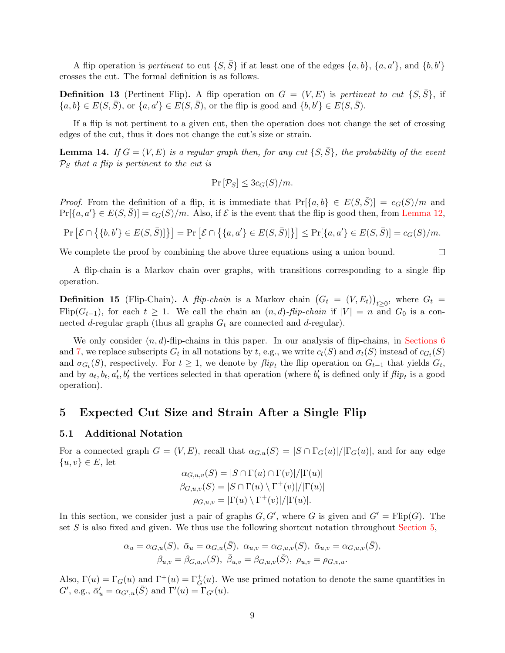A flip operation is *pertinent* to cut  $\{S, \overline{S}\}\$ if at least one of the edges  $\{a, b\}, \{a, a'\},$  and  $\{b, b'\}\$ crosses the cut. The formal definition is as follows.

<span id="page-8-0"></span>**Definition 13** (Pertinent Flip). A flip operation on  $G = (V, E)$  is pertinent to cut  $\{S, \overline{S}\}$ , if  ${a, b} \in E(S, \overline{S})$ , or  ${a, a'} \in E(S, \overline{S})$ , or the flip is good and  ${b, b'} \in E(S, \overline{S})$ .

If a flip is not pertinent to a given cut, then the operation does not change the set of crossing edges of the cut, thus it does not change the cut's size or strain.

<span id="page-8-1"></span>**Lemma 14.** If  $G = (V, E)$  is a regular graph then, for any cut  $\{S, \overline{S}\}\$ , the probability of the event  $P<sub>S</sub>$  that a flip is pertinent to the cut is

$$
\Pr[\mathcal{P}_S] \leq 3c_G(S)/m.
$$

*Proof.* From the definition of a flip, it is immediate that  $Pr[{a,b} \in E(S,\bar{S})] = c_G(S)/m$  and  $Pr[\{a, a'\} \in E(S, \overline{S})] = c_G(S)/m$ . Also, if  $\mathcal E$  is the event that the flip is good then, from [Lemma 12,](#page-7-4)

$$
\Pr\left[\mathcal{E} \cap \{ \{b, b'\} \in E(S, \bar{S})\} \right] = \Pr\left[\mathcal{E} \cap \{ \{a, a'\} \in E(S, \bar{S})\} \right] \le \Pr[\{a, a'\} \in E(S, \bar{S})] = c_G(S)/m.
$$

 $\Box$ 

We complete the proof by combining the above three equations using a union bound.

A flip-chain is a Markov chain over graphs, with transitions corresponding to a single flip operation.

**Definition 15** (Flip-Chain). A *flip-chain* is a Markov chain  $(G_t = (V, E_t))_{t \geq 0}$ , where  $G_t =$ Flip( $G_{t-1}$ ), for each  $t \geq 1$ . We call the chain an  $(n,d)$ -flip-chain if  $|V| = n$  and  $G_0$  is a connected d-regular graph (thus all graphs  $G_t$  are connected and d-regular).

We only consider  $(n, d)$ -flip-chains in this paper. In our analysis of flip-chains, in [Sections 6](#page-15-1) and [7,](#page-19-2) we replace subscripts  $G_t$  in all notations by t, e.g., we write  $c_t(S)$  and  $\sigma_t(S)$  instead of  $c_{G_t}(S)$ and  $\sigma_{G_t}(S)$ , respectively. For  $t \geq 1$ , we denote by  $\text{flip}_t$  the flip operation on  $G_{t-1}$  that yields  $G_t$ , and by  $a_t, b_t, a'_t, b'_t$  the vertices selected in that operation (where  $b'_t$  is defined only if  $flip_t$  is a good operation).

## <span id="page-8-2"></span>5 Expected Cut Size and Strain After a Single Flip

### 5.1 Additional Notation

For a connected graph  $G = (V, E)$ , recall that  $\alpha_{G,u}(S) = |S \cap \Gamma_G(u)|/|\Gamma_G(u)|$ , and for any edge  ${u, v} \in E$ , let  $\alpha \in \mathbb{R}$   $( \alpha \in \mathbb{R}^2 ) \in \mathbb{R}$   $( \alpha \in \mathbb{R}^2 )$ 

$$
\alpha_{G,u,v}(S) = |S \cap \Gamma(u) \cap \Gamma(v)| / |\Gamma(u)|
$$
  
\n
$$
\beta_{G,u,v}(S) = |S \cap \Gamma(u) \setminus \Gamma^+(v) | / |\Gamma(u)|
$$
  
\n
$$
\rho_{G,u,v} = |\Gamma(u) \setminus \Gamma^+(v) | / |\Gamma(u)|.
$$

In this section, we consider just a pair of graphs  $G, G'$ , where G is given and  $G' = \text{Flip}(G)$ . The set  $S$  is also fixed and given. We thus use the following shortcut notation throughout [Section 5,](#page-8-2)

$$
\alpha_u = \alpha_{G,u}(S), \ \bar{\alpha}_u = \alpha_{G,u}(\bar{S}), \ \alpha_{u,v} = \alpha_{G,u,v}(S), \ \bar{\alpha}_{u,v} = \alpha_{G,u,v}(\bar{S}), \beta_{u,v} = \beta_{G,u,v}(S), \ \bar{\beta}_{u,v} = \beta_{G,u,v}(\bar{S}), \ \rho_{u,v} = \rho_{G,v,u}.
$$

Also,  $\Gamma(u) = \Gamma_G(u)$  and  $\Gamma^+(u) = \Gamma_G^+(u)$ . We use primed notation to denote the same quantities in  $G'$ , e.g.,  $\bar{\alpha}'_u = \alpha_{G',u}(\bar{S})$  and  $\Gamma'(u) = \Gamma_{G'}(u)$ .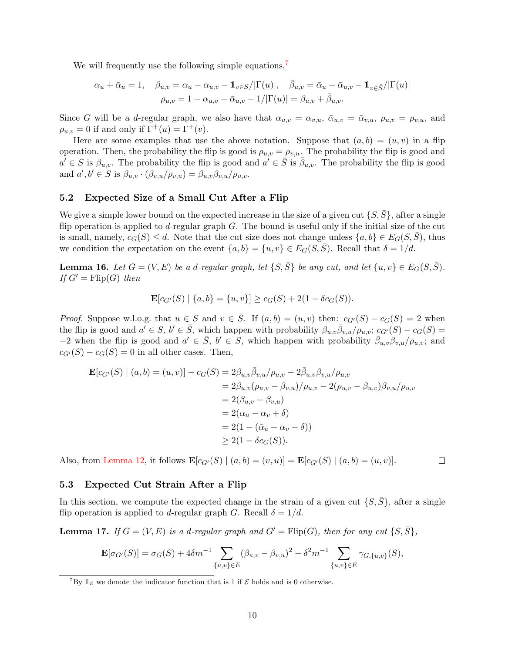We will frequently use the following simple equations,<sup>[7](#page-9-2)</sup>

$$
\alpha_u + \bar{\alpha}_u = 1, \quad \beta_{u,v} = \alpha_u - \alpha_{u,v} - \mathbb{1}_{v \in S}/|\Gamma(u)|, \quad \bar{\beta}_{u,v} = \bar{\alpha}_u - \bar{\alpha}_{u,v} - \mathbb{1}_{v \in \bar{S}}/|\Gamma(u)|
$$

$$
\rho_{u,v} = 1 - \alpha_{u,v} - \bar{\alpha}_{u,v} - 1/|\Gamma(u)| = \beta_{u,v} + \bar{\beta}_{u,v}.
$$

Since G will be a d-regular graph, we also have that  $\alpha_{u,v} = \alpha_{v,u}$ ,  $\bar{\alpha}_{u,v} = \bar{\alpha}_{v,u}$ ,  $\rho_{u,v} = \rho_{v,u}$ , and  $\rho_{u,v} = 0$  if and only if  $\Gamma^+(u) = \Gamma^+(v)$ .

Here are some examples that use the above notation. Suppose that  $(a, b) = (u, v)$  in a flip operation. Then, the probability the flip is good is  $\rho_{u,v} = \rho_{v,u}$ . The probability the flip is good and  $a' \in S$  is  $\beta_{u,v}$ . The probability the flip is good and  $a' \in \overline{S}$  is  $\overline{\beta}_{u,v}$ . The probability the flip is good and  $a', b' \in S$  is  $\beta_{u,v} \cdot (\beta_{v,u}/\rho_{v,u}) = \beta_{u,v}\beta_{v,u}/\rho_{u,v}$ .

### 5.2 Expected Size of a Small Cut After a Flip

We give a simple lower bound on the expected increase in the size of a given cut  $\{S, \overline{S}\}\$ , after a single flip operation is applied to d-regular graph  $G$ . The bound is useful only if the initial size of the cut is small, namely,  $c_G(S) \leq d$ . Note that the cut size does not change unless  $\{a, b\} \in E_G(S, S)$ , thus we condition the expectation on the event  $\{a, b\} = \{u, v\} \in E_G(S, \overline{S})$ . Recall that  $\delta = 1/d$ .

<span id="page-9-1"></span>**Lemma 16.** Let  $G = (V, E)$  be a d-regular graph, let  $\{S, \overline{S}\}\$  be any cut, and let  $\{u, v\} \in E_G(S, \overline{S})$ . If  $G' = \text{Flip}(G)$  then

$$
\mathbf{E}[c_{G'}(S) | \{a, b\} = \{u, v\}] \ge c_G(S) + 2(1 - \delta c_G(S)).
$$

*Proof.* Suppose w.l.o.g. that  $u \in S$  and  $v \in \overline{S}$ . If  $(a, b) = (u, v)$  then:  $c_{G'}(S) - c_G(S) = 2$  when the flip is good and  $a' \in S$ ,  $b' \in \overline{S}$ , which happen with probability  $\beta_{u,v} \overline{\beta}_{v,u}/\rho_{u,v}$ ;  $c_{G'}(S) - c_G(S)$  $-2$  when the flip is good and  $a' \in \overline{S}$ ,  $b' \in \overline{S}$ , which happen with probability  $\overline{\beta}_{u,v}\beta_{v,u}/\rho_{u,v}$ ; and  $c_{G'}(S) - c_G(S) = 0$  in all other cases. Then,

$$
\begin{aligned} \mathbf{E}[c_{G'}(S) \mid (a,b) = (u,v)] - c_G(S) &= 2\beta_{u,v}\bar{\beta}_{v,u}/\rho_{u,v} - 2\bar{\beta}_{u,v}\beta_{v,u}/\rho_{u,v} \\ &= 2\beta_{u,v}(\rho_{u,v} - \beta_{v,u})/\rho_{u,v} - 2(\rho_{u,v} - \beta_{u,v})\beta_{v,u}/\rho_{u,v} \\ &= 2(\beta_{u,v} - \beta_{v,u}) \\ &= 2(\alpha_u - \alpha_v + \delta) \\ &= 2(1 - (\bar{\alpha}_u + \alpha_v - \delta)) \\ &\ge 2(1 - \delta c_G(S)). \end{aligned}
$$

Also, from [Lemma 12,](#page-7-4) it follows  $\mathbf{E}[c_{G'}(S) | (a, b) = (v, u)] = \mathbf{E}[c_{G'}(S) | (a, b) = (u, v)].$  $\Box$ 

## 5.3 Expected Cut Strain After a Flip

In this section, we compute the expected change in the strain of a given cut  $\{S, \bar{S}\}\$ , after a single flip operation is applied to d-regular graph G. Recall  $\delta = 1/d$ .

<span id="page-9-0"></span>**Lemma 17.** If  $G = (V, E)$  is a d-regular graph and  $G' = \text{Flip}(G)$ , then for any cut  $\{S, \overline{S}\},$ 

$$
\mathbf{E}[\sigma_{G'}(S)] = \sigma_G(S) + 4\delta m^{-1} \sum_{\{u,v\} \in E} (\beta_{u,v} - \beta_{v,u})^2 - \delta^2 m^{-1} \sum_{\{u,v\} \in E} \gamma_{G,\{u,v\}}(S),
$$

<span id="page-9-2"></span><sup>&</sup>lt;sup>7</sup>By  $1_{\mathcal{E}}$  we denote the indicator function that is 1 if  $\mathcal{E}$  holds and is 0 otherwise.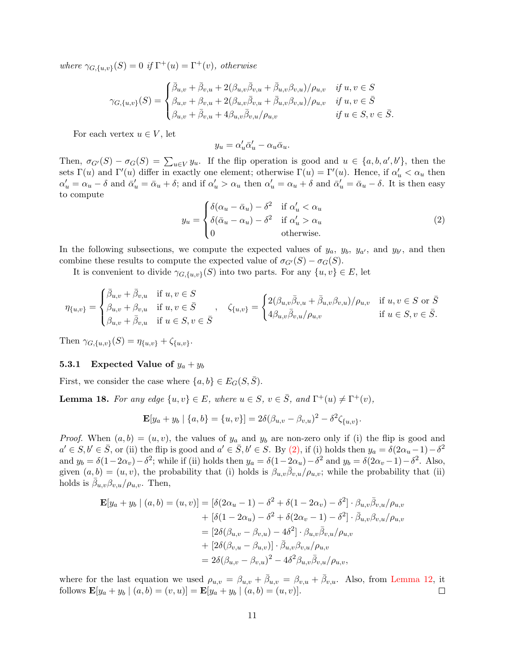where  $\gamma_{G,\lbrace u,v \rbrace}(S) = 0$  if  $\Gamma^+(u) = \Gamma^+(v)$ , otherwise

$$
\gamma_{G,\{u,v\}}(S) = \begin{cases} \bar{\beta}_{u,v} + \bar{\beta}_{v,u} + 2(\beta_{u,v}\bar{\beta}_{v,u} + \bar{\beta}_{u,v}\beta_{v,u})/\rho_{u,v} & \text{if } u, v \in S \\ \beta_{u,v} + \beta_{v,u} + 2(\beta_{u,v}\bar{\beta}_{v,u} + \bar{\beta}_{u,v}\beta_{v,u})/\rho_{u,v} & \text{if } u, v \in \bar{S} \\ \beta_{u,v} + \bar{\beta}_{v,u} + 4\beta_{u,v}\bar{\beta}_{v,u}/\rho_{u,v} & \text{if } u \in S, v \in \bar{S}. \end{cases}
$$

For each vertex  $u \in V$ , let

$$
y_u = \alpha'_u \bar{\alpha}'_u - \alpha_u \bar{\alpha}_u.
$$

Then,  $\sigma_{G'}(S) - \sigma_G(S) = \sum_{u \in V} y_u$ . If the flip operation is good and  $u \in \{a, b, a', b'\}$ , then the sets  $\Gamma(u)$  and  $\Gamma'(u)$  differ in exactly one element; otherwise  $\Gamma(u) = \Gamma'(u)$ . Hence, if  $\alpha'_u < \alpha_u$  then  $\alpha'_u = \alpha_u - \delta$  and  $\bar{\alpha}'_u = \bar{\alpha}_u + \delta$ ; and if  $\alpha'_u > \alpha_u$  then  $\alpha'_u = \alpha_u + \delta$  and  $\bar{\alpha}'_u = \bar{\alpha}_u - \delta$ . It is then easy to compute

<span id="page-10-0"></span>
$$
y_u = \begin{cases} \delta(\alpha_u - \bar{\alpha}_u) - \delta^2 & \text{if } \alpha'_u < \alpha_u \\ \delta(\bar{\alpha}_u - \alpha_u) - \delta^2 & \text{if } \alpha'_u > \alpha_u \\ 0 & \text{otherwise.} \end{cases}
$$
 (2)

In the following subsections, we compute the expected values of  $y_a$ ,  $y_b$ ,  $y_{a'}$ , and  $y_{b'}$ , and then combine these results to compute the expected value of  $\sigma_{G'}(S) - \sigma_G(S)$ .

It is convenient to divide  $\gamma_{G,\lbrace u,v \rbrace}(S)$  into two parts. For any  $\lbrace u,v \rbrace \in E$ , let

$$
\eta_{\{u,v\}} = \begin{cases} \bar{\beta}_{u,v} + \bar{\beta}_{v,u} & \text{if } u, v \in S \\ \beta_{u,v} + \beta_{v,u} & \text{if } u, v \in \bar{S} \\ \beta_{u,v} + \bar{\beta}_{v,u} & \text{if } u \in S, v \in \bar{S} \end{cases}, \quad \zeta_{\{u,v\}} = \begin{cases} 2(\beta_{u,v}\bar{\beta}_{v,u} + \bar{\beta}_{u,v}\beta_{v,u})/\rho_{u,v} & \text{if } u, v \in S \text{ or } \bar{S} \\ 4\beta_{u,v}\bar{\beta}_{v,u}/\rho_{u,v} & \text{if } u \in S, v \in \bar{S} \end{cases}
$$

Then  $\gamma_{G,\{u,v\}}(S) = \eta_{\{u,v\}} + \zeta_{\{u,v\}}.$ 

## **5.3.1** Expected Value of  $y_a + y_b$

First, we consider the case where  $\{a, b\} \in E_G(S, \overline{S})$ .

<span id="page-10-1"></span>**Lemma 18.** For any edge  $\{u, v\} \in E$ , where  $u \in S$ ,  $v \in \overline{S}$ , and  $\Gamma^+(u) \neq \Gamma^+(v)$ ,

$$
\mathbf{E}[y_a + y_b | \{a, b\} = \{u, v\}] = 2\delta(\beta_{u,v} - \beta_{v,u})^2 - \delta^2 \zeta_{\{u, v\}}.
$$

*Proof.* When  $(a, b) = (u, v)$ , the values of  $y_a$  and  $y_b$  are non-zero only if (i) the flip is good and  $a' \in S, b' \in \overline{S}$ , or (ii) the flip is good and  $a' \in \overline{S}, b' \in S$ . By [\(2\),](#page-10-0) if (i) holds then  $y_a = \delta(2\alpha_u - 1) - \delta^2$ and  $y_b = \delta(1-2\alpha_v) - \delta^2$ ; while if (ii) holds then  $y_a = \delta(1-2\alpha_u) - \delta^2$  and  $y_b = \delta(2\alpha_v - 1) - \delta^2$ . Also, given  $(a, b) = (u, v)$ , the probability that (i) holds is  $\beta_{u,v} \overline{\beta}_{v,u}/\rho_{u,v}$ ; while the probability that (ii) holds is  $\bar{\beta}_{u,v}\beta_{v,u}/\rho_{u,v}$ . Then,

$$
\mathbf{E}[y_{a} + y_{b} | (a, b) = (u, v)] = [\delta(2\alpha_{u} - 1) - \delta^{2} + \delta(1 - 2\alpha_{v}) - \delta^{2}] \cdot \beta_{u,v} \overline{\beta}_{v,u} / \rho_{u,v} \n+ [\delta(1 - 2\alpha_{u}) - \delta^{2} + \delta(2\alpha_{v} - 1) - \delta^{2}] \cdot \overline{\beta}_{u,v} \beta_{v,u} / \rho_{u,v} \n= [2\delta(\beta_{u,v} - \beta_{v,u}) - 4\delta^{2}] \cdot \beta_{u,v} \overline{\beta}_{v,u} / \rho_{u,v} \n+ [2\delta(\beta_{v,u} - \beta_{u,v})] \cdot \overline{\beta}_{u,v} \beta_{v,u} / \rho_{u,v} \n= 2\delta(\beta_{u,v} - \beta_{v,u})^{2} - 4\delta^{2} \beta_{u,v} \overline{\beta}_{v,u} / \rho_{u,v},
$$

where for the last equation we used  $\rho_{u,v} = \beta_{u,v} + \bar{\beta}_{u,v} = \beta_{v,u} + \bar{\beta}_{v,u}$ . Also, from [Lemma 12,](#page-7-4) it follows  $\mathbf{E}[y_a + y_b | (a, b) = (v, u)] = \mathbf{E}[y_a + y_b | (a, b) = (u, v)].$  $\Box$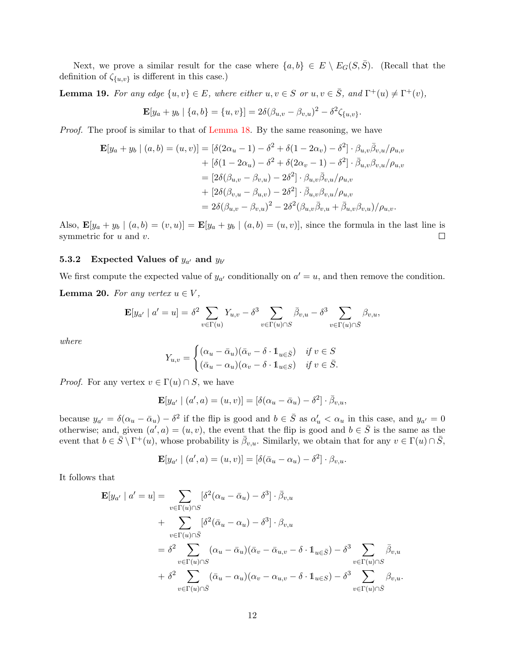Next, we prove a similar result for the case where  $\{a, b\} \in E \setminus E_G(S, \overline{S})$ . (Recall that the definition of  $\zeta_{\{u,v\}}$  is different in this case.)

<span id="page-11-1"></span>**Lemma 19.** For any edge  $\{u, v\} \in E$ , where either  $u, v \in S$  or  $u, v \in \overline{S}$ , and  $\Gamma^+(u) \neq \Gamma^+(v)$ ,

$$
\mathbf{E}[y_a + y_b | \{a, b\} = \{u, v\}] = 2\delta(\beta_{u,v} - \beta_{v,u})^2 - \delta^2 \zeta_{\{u, v\}}
$$

.

Proof. The proof is similar to that of [Lemma 18.](#page-10-1) By the same reasoning, we have

$$
\mathbf{E}[y_a + y_b \mid (a, b) = (u, v)] = [\delta(2\alpha_u - 1) - \delta^2 + \delta(1 - 2\alpha_v) - \delta^2] \cdot \beta_{u,v} \overline{\beta}_{v,u} / \rho_{u,v} \n+ [\delta(1 - 2\alpha_u) - \delta^2 + \delta(2\alpha_v - 1) - \delta^2] \cdot \overline{\beta}_{u,v} \beta_{v,u} / \rho_{u,v} \n= [2\delta(\beta_{u,v} - \beta_{v,u}) - 2\delta^2] \cdot \beta_{u,v} \overline{\beta}_{v,u} / \rho_{u,v} \n+ [2\delta(\beta_{v,u} - \beta_{u,v}) - 2\delta^2] \cdot \overline{\beta}_{u,v} \beta_{v,u} / \rho_{u,v} \n= 2\delta(\beta_{u,v} - \beta_{v,u})^2 - 2\delta^2(\beta_{u,v} \overline{\beta}_{v,u} + \overline{\beta}_{u,v} \beta_{v,u}) / \rho_{u,v}.
$$

Also,  $\mathbf{E}[y_a + y_b | (a, b) = (v, u)] = \mathbf{E}[y_a + y_b | (a, b) = (u, v)]$ , since the formula in the last line is symmetric for  $u$  and  $v$ .  $\Box$ 

## 5.3.2 Expected Values of  $y_{a'}$  and  $y_{b'}$

We first compute the expected value of  $y_{a'}$  conditionally on  $a' = u$ , and then remove the condition.

<span id="page-11-0"></span>**Lemma 20.** For any vertex  $u \in V$ ,

$$
\mathbf{E}[y_{a'} \mid a' = u] = \delta^2 \sum_{v \in \Gamma(u)} Y_{u,v} - \delta^3 \sum_{v \in \Gamma(u) \cap S} \bar{\beta}_{v,u} - \delta^3 \sum_{v \in \Gamma(u) \cap \bar{S}} \beta_{v,u},
$$

where

$$
Y_{u,v} = \begin{cases} (\alpha_u - \bar{\alpha}_u)(\bar{\alpha}_v - \delta \cdot 1_{u \in \bar{S}}) & \text{if } v \in S \\ (\bar{\alpha}_u - \alpha_u)(\alpha_v - \delta \cdot 1_{u \in S}) & \text{if } v \in \bar{S}. \end{cases}
$$

*Proof.* For any vertex  $v \in \Gamma(u) \cap S$ , we have

$$
\mathbf{E}[y_{a'} \mid (a', a) = (u, v)] = [\delta(\alpha_u - \bar{\alpha}_u) - \delta^2] \cdot \bar{\beta}_{v, u},
$$

because  $y_{a'} = \delta(\alpha_u - \bar{\alpha}_u) - \delta^2$  if the flip is good and  $b \in \bar{S}$  as  $\alpha'_u < \alpha_u$  in this case, and  $y_{a'} = 0$ otherwise; and, given  $(a', a) = (u, v)$ , the event that the flip is good and  $b \in \overline{S}$  is the same as the event that  $b \in \overline{S} \setminus \Gamma^+(u)$ , whose probability is  $\overline{\beta}_{v,u}$ . Similarly, we obtain that for any  $v \in \Gamma(u) \cap \overline{S}$ ,

$$
\mathbf{E}[y_{a'} \mid (a', a) = (u, v)] = [\delta(\bar{\alpha}_u - \alpha_u) - \delta^2] \cdot \beta_{v, u}.
$$

It follows that

$$
\mathbf{E}[y_{a'} | a' = u] = \sum_{v \in \Gamma(u) \cap S} [\delta^2(\alpha_u - \bar{\alpha}_u) - \delta^3] \cdot \bar{\beta}_{v,u} \n+ \sum_{v \in \Gamma(u) \cap \bar{S}} [\delta^2(\bar{\alpha}_u - \alpha_u) - \delta^3] \cdot \beta_{v,u} \n= \delta^2 \sum_{v \in \Gamma(u) \cap S} (\alpha_u - \bar{\alpha}_u)(\bar{\alpha}_v - \bar{\alpha}_{u,v} - \delta \cdot 1_{u \in \bar{S}}) - \delta^3 \sum_{v \in \Gamma(u) \cap S} \bar{\beta}_{v,u} \n+ \delta^2 \sum_{v \in \Gamma(u) \cap \bar{S}} (\bar{\alpha}_u - \alpha_u)(\alpha_v - \alpha_{u,v} - \delta \cdot 1_{u \in S}) - \delta^3 \sum_{v \in \Gamma(u) \cap \bar{S}} \beta_{v,u}.
$$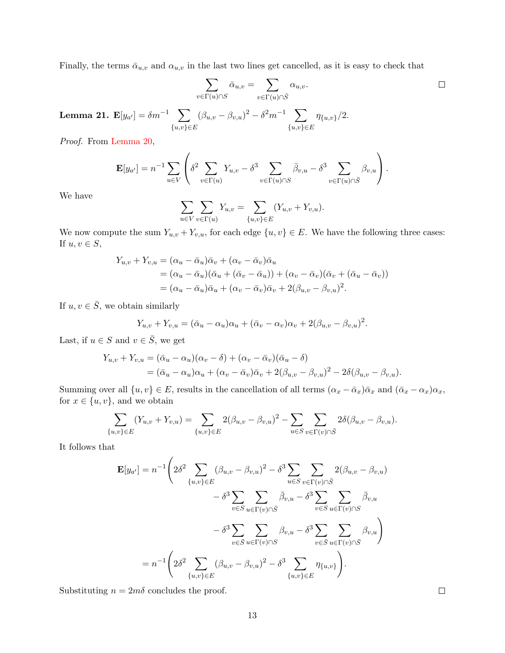Finally, the terms  $\bar{\alpha}_{u,v}$  and  $\alpha_{u,v}$  in the last two lines get cancelled, as it is easy to check that

$$
\sum_{v \in \Gamma(u) \cap S} \bar{\alpha}_{u,v} = \sum_{v \in \Gamma(u) \cap \bar{S}} \alpha_{u,v}.
$$

<span id="page-12-0"></span> $\textbf{Lemma 21. } \textbf{E}[y_{a'}]=\delta m^{-1} \hspace{0.1in} \sum \limits_{b=1}^{n} \delta_{b}^{b}$  $\{u,v\} \in E$  $(\beta_{u,v} - \beta_{v,u})^2 - \delta^2 m^{-1}$   $\sum$  $\{u,v\} \in E$  $\eta_{\{u,v\}}/2.$ 

Proof. From [Lemma 20,](#page-11-0)

$$
\mathbf{E}[y_{a'}] = n^{-1} \sum_{u \in V} \left( \delta^2 \sum_{v \in \Gamma(u)} Y_{u,v} - \delta^3 \sum_{v \in \Gamma(u) \cap S} \bar{\beta}_{v,u} - \delta^3 \sum_{v \in \Gamma(u) \cap \bar{S}} \beta_{v,u} \right).
$$

We have

$$
\sum_{u \in V} \sum_{v \in \Gamma(u)} Y_{u,v} = \sum_{\{u,v\} \in E} (Y_{u,v} + Y_{v,u}).
$$

We now compute the sum  $Y_{u,v} + Y_{v,u}$ , for each edge  $\{u, v\} \in E$ . We have the following three cases: If  $u, v \in S$ ,

$$
Y_{u,v} + Y_{v,u} = (\alpha_u - \bar{\alpha}_u)\bar{\alpha}_v + (\alpha_v - \bar{\alpha}_v)\bar{\alpha}_u
$$
  
=  $(\alpha_u - \bar{\alpha}_u)(\bar{\alpha}_u + (\bar{\alpha}_v - \bar{\alpha}_u)) + (\alpha_v - \bar{\alpha}_v)(\bar{\alpha}_v + (\bar{\alpha}_u - \bar{\alpha}_v))$   
=  $(\alpha_u - \bar{\alpha}_u)\bar{\alpha}_u + (\alpha_v - \bar{\alpha}_v)\bar{\alpha}_v + 2(\beta_{u,v} - \beta_{v,u})^2.$ 

If  $u, v \in \overline{S}$ , we obtain similarly

$$
Y_{u,v} + Y_{v,u} = (\bar{\alpha}_u - \alpha_u)\alpha_u + (\bar{\alpha}_v - \alpha_v)\alpha_v + 2(\beta_{u,v} - \beta_{v,u})^2.
$$

Last, if  $u \in S$  and  $v \in \overline{S}$ , we get

$$
Y_{u,v} + Y_{v,u} = (\bar{\alpha}_u - \alpha_u)(\alpha_v - \delta) + (\alpha_v - \bar{\alpha}_v)(\bar{\alpha}_u - \delta)
$$
  
=  $(\bar{\alpha}_u - \alpha_u)\alpha_u + (\alpha_v - \bar{\alpha}_v)\bar{\alpha}_v + 2(\beta_{u,v} - \beta_{v,u})^2 - 2\delta(\beta_{u,v} - \beta_{v,u}).$ 

Summing over all  $\{u, v\} \in E$ , results in the cancellation of all terms  $(\alpha_x - \bar{\alpha}_x)\bar{\alpha}_x$  and  $(\bar{\alpha}_x - \alpha_x)\alpha_x$ , for  $x \in \{u, v\}$ , and we obtain

$$
\sum_{\{u,v\}\in E} (Y_{u,v} + Y_{v,u}) = \sum_{\{u,v\}\in E} 2(\beta_{u,v} - \beta_{v,u})^2 - \sum_{u\in S} \sum_{v\in \Gamma(v)\cap \bar{S}} 2\delta(\beta_{u,v} - \beta_{v,u}).
$$

It follows that

$$
\mathbf{E}[y_{a'}] = n^{-1} \left( 2\delta^2 \sum_{\{u,v\} \in E} (\beta_{u,v} - \beta_{v,u})^2 - \delta^3 \sum_{u \in S} \sum_{v \in \Gamma(v) \cap \overline{S}} 2(\beta_{u,v} - \beta_{v,u}) - \delta^3 \sum_{v \in S} \sum_{u \in \Gamma(v) \cap \overline{S}} \overline{\beta}_{v,u} - \delta^3 \sum_{v \in S} \sum_{u \in \Gamma(v) \cap S} \overline{\beta}_{v,u} - \delta^3 \sum_{v \in \overline{S}} \sum_{u \in \Gamma(v) \cap S} \overline{\beta}_{v,u} - \delta^3 \sum_{v \in \overline{S}} \sum_{u \in \Gamma(v) \cap \overline{S}} \beta_{v,u} \right)
$$

$$
= n^{-1} \left( 2\delta^2 \sum_{\{u,v\} \in E} (\beta_{u,v} - \beta_{v,u})^2 - \delta^3 \sum_{\{u,v\} \in E} \eta_{\{u,v\}} \right).
$$

Substituting  $n = 2m\delta$  concludes the proof.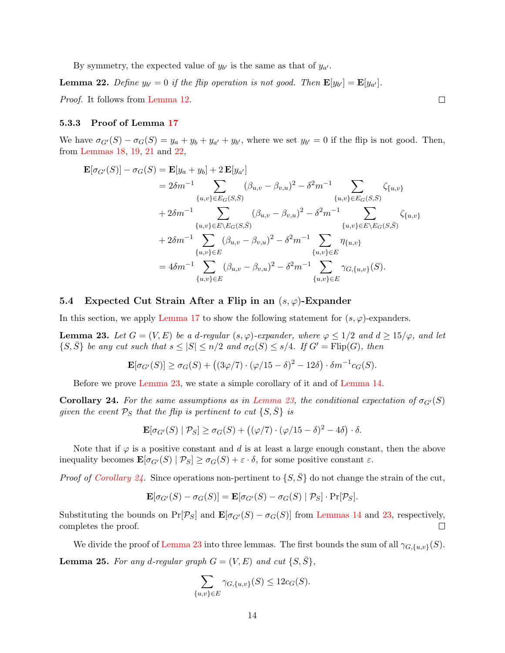By symmetry, the expected value of  $y_{b'}$  is the same as that of  $y_{a'}$ .

<span id="page-13-1"></span>**Lemma 22.** Define  $y_{b'} = 0$  if the flip operation is not good. Then  $\mathbf{E}[y_{b'}] = \mathbf{E}[y_{a'}]$ . Proof. It follows from [Lemma 12.](#page-7-4)

## 5.3.3 Proof of Lemma [17](#page-9-0)

We have  $\sigma_{G'}(S) - \sigma_G(S) = y_a + y_b + y_{a'} + y_{b'}$ , where we set  $y_{b'} = 0$  if the flip is not good. Then, from [Lemmas 18,](#page-10-1) [19,](#page-11-1) [21](#page-12-0) and [22,](#page-13-1)

$$
\mathbf{E}[\sigma_{G'}(S)] - \sigma_G(S) = \mathbf{E}[y_a + y_b] + 2 \mathbf{E}[y_{a'}]
$$
  
\n
$$
= 2\delta m^{-1} \sum_{\{u,v\} \in E_G(S,\bar{S})} (\beta_{u,v} - \beta_{v,u})^2 - \delta^2 m^{-1} \sum_{\{u,v\} \in E_G(S,\bar{S})} \zeta_{\{u,v\}}
$$
  
\n
$$
+ 2\delta m^{-1} \sum_{\{u,v\} \in E \setminus E_G(S,\bar{S})} (\beta_{u,v} - \beta_{v,u})^2 - \delta^2 m^{-1} \sum_{\{u,v\} \in E \setminus E_G(S,\bar{S})} \zeta_{\{u,v\}}
$$
  
\n
$$
+ 2\delta m^{-1} \sum_{\{u,v\} \in E} (\beta_{u,v} - \beta_{v,u})^2 - \delta^2 m^{-1} \sum_{\{u,v\} \in E} \eta_{\{u,v\}}
$$
  
\n
$$
= 4\delta m^{-1} \sum_{\{u,v\} \in E} (\beta_{u,v} - \beta_{v,u})^2 - \delta^2 m^{-1} \sum_{\{u,v\} \in E} \gamma_{G,\{u,v\}}(S).
$$

## 5.4 Expected Cut Strain After a Flip in an  $(s, \varphi)$ -Expander

In this section, we apply [Lemma 17](#page-9-0) to show the following statement for  $(s, \varphi)$ -expanders.

<span id="page-13-0"></span>**Lemma 23.** Let  $G = (V, E)$  be a d-regular  $(s, \varphi)$ -expander, where  $\varphi \leq 1/2$  and  $d \geq 15/\varphi$ , and let  $\{S, \overline{S}\}\$ be any cut such that  $s \leq |S| \leq n/2$  and  $\sigma_G(S) \leq s/4$ . If  $G' = \text{Flip}(G)$ , then

$$
\mathbf{E}[\sigma_{G'}(S)] \ge \sigma_G(S) + ((3\varphi/7) \cdot (\varphi/15 - \delta)^2 - 12\delta) \cdot \delta m^{-1} c_G(S).
$$

Before we prove [Lemma 23,](#page-13-0) we state a simple corollary of it and of [Lemma 14.](#page-8-1)

<span id="page-13-2"></span>**Corollary 24.** For the same assumptions as in [Lemma 23,](#page-13-0) the conditional expectation of  $\sigma_{G'}(S)$ given the event  $\mathcal{P}_S$  that the flip is pertinent to cut  $\{S, \bar{S}\}\$ is

$$
\mathbf{E}[\sigma_{G'}(S) | \mathcal{P}_S] \ge \sigma_G(S) + ((\varphi/7) \cdot (\varphi/15 - \delta)^2 - 4\delta) \cdot \delta.
$$

Note that if  $\varphi$  is a positive constant and d is at least a large enough constant, then the above inequality becomes  $\mathbf{E}[\sigma_{G'}(S) | \mathcal{P}_S] \geq \sigma_G(S) + \varepsilon \cdot \delta$ , for some positive constant  $\varepsilon$ .

*Proof of [Corollary 24.](#page-13-2)* Since operations non-pertinent to  $\{S, \overline{S}\}\$  do not change the strain of the cut,

$$
\mathbf{E}[\sigma_{G'}(S) - \sigma_G(S)] = \mathbf{E}[\sigma_{G'}(S) - \sigma_G(S) | \mathcal{P}_S] \cdot \Pr[\mathcal{P}_S].
$$

Substituting the bounds on  $Pr[\mathcal{P}_S]$  and  $\mathbf{E}[\sigma_{G'}(S) - \sigma_G(S)]$  from [Lemmas 14](#page-8-1) and [23,](#page-13-0) respectively,  $\Box$ completes the proof.

<span id="page-13-3"></span>We divide the proof of [Lemma 23](#page-13-0) into three lemmas. The first bounds the sum of all  $\gamma_{G,\lbrace u,v\rbrace}(S)$ . **Lemma 25.** For any d-regular graph  $G = (V, E)$  and cut  $\{S, \overline{S}\},\$ 

$$
\sum_{\{u,v\}\in E} \gamma_{G,\{u,v\}}(S) \le 12c_G(S).
$$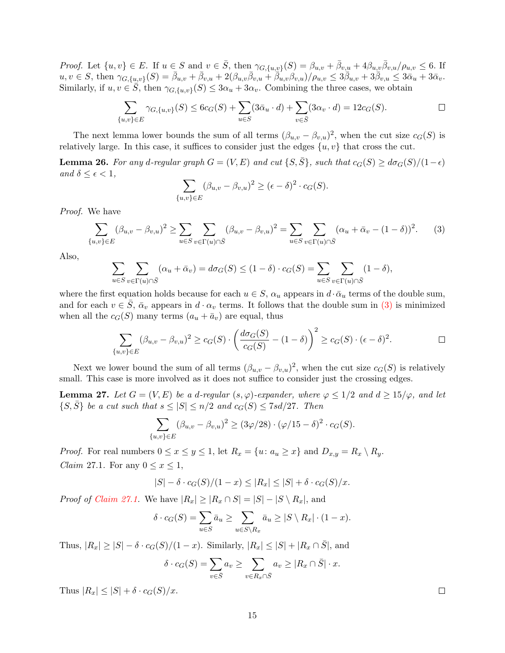Proof. Let  $\{u, v\} \in E$ . If  $u \in S$  and  $v \in \overline{S}$ , then  $\gamma_{G,\{u,v\}}(S) = \beta_{u,v} + \overline{\beta}_{v,u} + 4\beta_{u,v}\overline{\beta}_{v,u}/\rho_{u,v} \leq 6$ . If  $u, v \in S$ , then  $\gamma_{G,\lbrace u,v \rbrace}(S) = \bar{\beta}_{u,v} + \bar{\beta}_{v,u} + 2(\beta_{u,v}\bar{\beta}_{v,u} + \bar{\beta}_{u,v}\beta_{v,u})/\rho_{u,v} \leq 3\bar{\beta}_{u,v} + 3\bar{\beta}_{v,u} \leq 3\bar{\alpha}_u + 3\bar{\alpha}_v$ . Similarly, if  $u, v \in \overline{S}$ , then  $\gamma_{G,\{u,v\}}(S) \leq 3\alpha_u + 3\alpha_v$ . Combining the three cases, we obtain

$$
\sum_{\{u,v\}\in E} \gamma_{G,\{u,v\}}(S) \le 6c_G(S) + \sum_{u\in S} (3\bar{\alpha}_u \cdot d) + \sum_{v\in \bar{S}} (3\alpha_v \cdot d) = 12c_G(S).
$$

The next lemma lower bounds the sum of all terms  $(\beta_{u,v} - \beta_{v,u})^2$ , when the cut size  $c_G(S)$  is relatively large. In this case, it suffices to consider just the edges  $\{u, v\}$  that cross the cut.

<span id="page-14-4"></span>**Lemma 26.** For any d-regular graph  $G = (V, E)$  and cut  $\{S, \overline{S}\}$ , such that  $c_G(S) \geq d\sigma_G(S)/(1-\epsilon)$ and  $\delta \leq \epsilon < 1$ ,

$$
\sum_{\{u,v\}\in E} (\beta_{u,v} - \beta_{v,u})^2 \ge (\epsilon - \delta)^2 \cdot c_G(S).
$$

Proof. We have

<span id="page-14-1"></span>
$$
\sum_{\{u,v\}\in E} (\beta_{u,v} - \beta_{v,u})^2 \ge \sum_{u \in S} \sum_{v \in \Gamma(u) \cap \bar{S}} (\beta_{u,v} - \beta_{v,u})^2 = \sum_{u \in S} \sum_{v \in \Gamma(u) \cap \bar{S}} (\alpha_u + \bar{\alpha}_v - (1 - \delta))^2.
$$
 (3)

Also,

$$
\sum_{u \in S} \sum_{v \in \Gamma(u) \cap \bar{S}} (\alpha_u + \bar{\alpha}_v) = d\sigma_G(S) \le (1 - \delta) \cdot c_G(S) = \sum_{u \in S} \sum_{v \in \Gamma(u) \cap \bar{S}} (1 - \delta),
$$

where the first equation holds because for each  $u \in S$ ,  $\alpha_u$  appears in  $d \cdot \bar{\alpha}_u$  terms of the double sum, and for each  $v \in \overline{S}$ ,  $\overline{\alpha}_v$  appears in  $d \cdot \alpha_v$  terms. It follows that the double sum in [\(3\)](#page-14-1) is minimized when all the  $c_G(S)$  many terms  $(a_u + \bar{a}_v)$  are equal, thus

$$
\sum_{\{u,v\}\in E} (\beta_{u,v} - \beta_{v,u})^2 \ge c_G(S) \cdot \left(\frac{d\sigma_G(S)}{c_G(S)} - (1-\delta)\right)^2 \ge c_G(S) \cdot (\epsilon - \delta)^2.
$$

Next we lower bound the sum of all terms  $(\beta_{u,v} - \beta_{v,u})^2$ , when the cut size  $c_G(S)$  is relatively small. This case is more involved as it does not suffice to consider just the crossing edges.

<span id="page-14-0"></span>**Lemma 27.** Let  $G = (V, E)$  be a d-regular  $(s, \varphi)$ -expander, where  $\varphi \leq 1/2$  and  $d \geq 15/\varphi$ , and let  $\{S, \overline{S}\}\$ be a cut such that  $s \leq |S| \leq n/2$  and  $c_G(S) \leq 7sd/27$ . Then

$$
\sum_{\{u,v\} \in E} (\beta_{u,v} - \beta_{v,u})^2 \ge (3\varphi/28) \cdot (\varphi/15 - \delta)^2 \cdot c_G(S).
$$

<span id="page-14-2"></span>*Proof.* For real numbers  $0 \le x \le y \le 1$ , let  $R_x = \{u : a_u \ge x\}$  and  $D_{x,y} = R_x \setminus R_y$ . *Claim* 27.1. For any  $0 \leq x \leq 1$ ,

$$
|S| - \delta \cdot c_G(S)/(1-x) \le |R_x| \le |S| + \delta \cdot c_G(S)/x.
$$

*Proof of [Claim 27.1.](#page-14-2)* We have  $|R_x| \geq |R_x \cap S| = |S| - |S \setminus R_x|$ , and

$$
\delta \cdot c_G(S) = \sum_{u \in S} \bar{a}_u \ge \sum_{u \in S \setminus R_x} \bar{a}_u \ge |S \setminus R_x| \cdot (1-x).
$$

Thus,  $|R_x| \geq |S| - \delta \cdot c_G(S)/(1-x)$ . Similarly,  $|R_x| \leq |S| + |R_x \cap \overline{S}|$ , and

$$
\delta \cdot c_G(S) = \sum_{v \in \bar{S}} a_v \ge \sum_{v \in R_x \cap \bar{S}} a_v \ge |R_x \cap \bar{S}| \cdot x.
$$

<span id="page-14-3"></span>Thus  $|R_x| \leq |S| + \delta \cdot c_G(S)/x$ .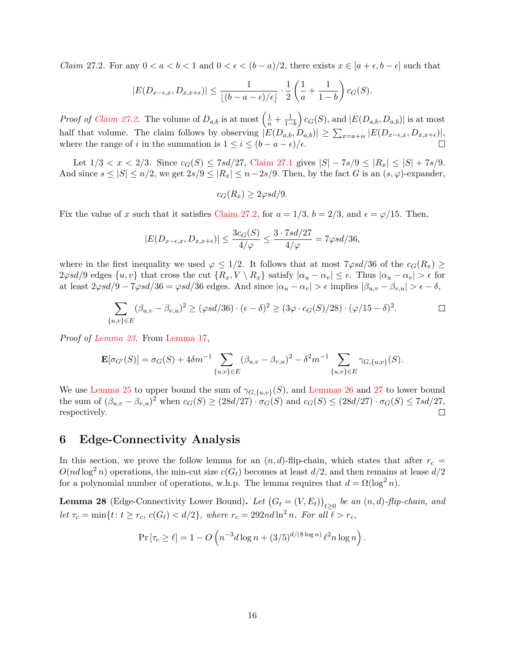*Claim* 27.2. For any  $0 < a < b < 1$  and  $0 < \epsilon < (b - a)/2$ , there exists  $x \in [a + \epsilon, b - \epsilon]$  such that

$$
|E(D_{x-\epsilon,x}, D_{x,x+\epsilon})| \leq \frac{1}{\lfloor (b-a-\epsilon)/\epsilon \rfloor} \cdot \frac{1}{2} \left( \frac{1}{a} + \frac{1}{1-b} \right) c_G(S).
$$

Proof of [Claim 27.2.](#page-14-3) The volume of  $D_{a,b}$  is at most  $\left(\frac{1}{a} + \frac{1}{1-b}\right)c_G(S)$ , and  $|E(D_{a,b}, D_{a,b})|$  is at most half that volume. The claim follows by observing  $|E(D_{a,b}, D_{a,b})| \geq \sum_{x=a+i\epsilon} |E(D_{x-\epsilon,x}, D_{x,x+\epsilon})|$ , where the range of i in the summation is  $1 \leq i \leq (b - a - \epsilon)/\epsilon$ .

Let  $1/3 < x < 2/3$ . Since  $c_G(S) \leq 7sd/27$ , [Claim 27.1](#page-14-2) gives  $|S| - 7s/9 \leq |R_x| \leq |S| + 7s/9$ . And since  $s \leq |S| \leq n/2$ , we get  $2s/9 \leq |R_x| \leq n-2s/9$ . Then, by the fact G is an  $(s, \varphi)$ -expander,

$$
c_G(R_x) \ge 2\varphi s d/9.
$$

Fix the value of x such that it satisfies [Claim 27.2,](#page-14-3) for  $a = 1/3$ ,  $b = 2/3$ , and  $\epsilon = \varphi/15$ . Then,

$$
|E(D_{x-\epsilon,x}, D_{x,x+\epsilon})| \le \frac{3c_G(S)}{4/\varphi} \le \frac{3 \cdot 7sd/27}{4/\varphi} = 7\varphi sd/36,
$$

where in the first inequality we used  $\varphi \leq 1/2$ . It follows that at most  $7\varphi sd/36$  of the  $c_G(R_x) \geq$  $2\varphi sd/9$  edges  $\{u, v\}$  that cross the cut  $\{R_x, V \setminus R_x\}$  satisfy  $|\alpha_u - \alpha_v| \leq \epsilon$ . Thus  $|\alpha_u - \alpha_v| > \epsilon$  for at least  $2\varphi sd/9 - 7\varphi sd/36 = \varphi sd/36$  edges. And since  $|\alpha_u - \alpha_v| > \epsilon$  implies  $|\beta_{u,v} - \beta_{v,u}| > \epsilon - \delta$ ,

$$
\sum_{\{u,v\}\in E} (\beta_{u,v} - \beta_{v,u})^2 \ge (\varphi s d/36) \cdot (\epsilon - \delta)^2 \ge (3\varphi \cdot c_G(S)/28) \cdot (\varphi/15 - \delta)^2.
$$

Proof of [Lemma 23.](#page-13-0) From [Lemma 17,](#page-9-0)

$$
\mathbf{E}[\sigma_{G'}(S)] = \sigma_G(S) + 4\delta m^{-1} \sum_{\{u,v\} \in E} (\beta_{u,v} - \beta_{v,u})^2 - \delta^2 m^{-1} \sum_{\{u,v\} \in E} \gamma_{G,\{u,v\}}(S).
$$

We use [Lemma 25](#page-13-3) to upper bound the sum of  $\gamma_{G,\{u,v\}}(S)$ , and [Lemmas 26](#page-14-4) and [27](#page-14-0) to lower bound the sum of  $(\beta_{u,v} - \beta_{v,u})^2$  when  $c_G(S) \ge (28d/27) \cdot \sigma_G(S)$  and  $c_G(S) \le (28d/27) \cdot \sigma_G(S) \le 7sd/27$ , respectively.  $\Box$ 

## <span id="page-15-1"></span>6 Edge-Connectivity Analysis

In this section, we prove the follow lemma for an  $(n, d)$ -flip-chain, which states that after  $r_c$  =  $O(nd \log^2 n)$  operations, the min-cut size  $c(G_t)$  becomes at least  $d/2$ , and then remains at lease  $d/2$ for a polynomial number of operations, w.h.p. The lemma requires that  $d = \Omega(\log^2 n)$ .

<span id="page-15-0"></span>**Lemma 28** (Edge-Connectivity Lower Bound). Let  $(G_t = (V, E_t))_{t \geq 0}$  be an  $(n, d)$ -flip-chain, and let  $\tau_c = \min\{t: t \geq r_c, c(G_t) < d/2\}$ , where  $r_c = 292n d \ln^2 n$ . For all  $\ell > r_c$ ,

$$
\Pr[\tau_c \ge \ell] = 1 - O\left(n^{-3}d\log n + (3/5)^{d/(8\log n)}\ell^2 n \log n\right).
$$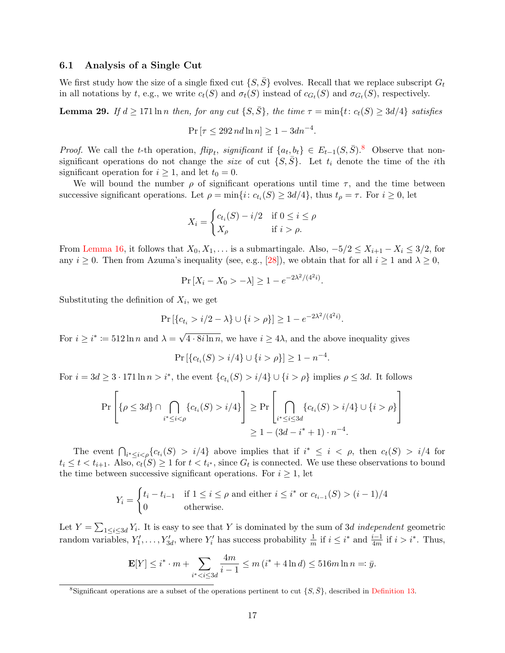## 6.1 Analysis of a Single Cut

We first study how the size of a single fixed cut  $\{S, \overline{S}\}$  evolves. Recall that we replace subscript  $G_t$ in all notations by t, e.g., we write  $c_t(S)$  and  $\sigma_t(S)$  instead of  $c_{G_t}(S)$  and  $\sigma_{G_t}(S)$ , respectively.

<span id="page-16-0"></span>**Lemma 29.** If  $d \geq 171 \ln n$  then, for any cut  $\{S, \overline{S}\}\$ , the time  $\tau = \min\{t : c_t(S) \geq 3d/4\}$  satisfies

$$
\Pr[\tau \le 292 \, nd \ln n] \ge 1 - 3dn^{-4}.
$$

*Proof.* We call the t-th operation,  $flip_t$ , significant if  $\{a_t, b_t\} \in E_{t-1}(S, \overline{S})$ .<sup>[8](#page-16-1)</sup> Observe that nonsignificant operations do not change the size of cut  $\{S, \overline{S}\}$ . Let  $t_i$  denote the time of the *i*th significant operation for  $i \geq 1$ , and let  $t_0 = 0$ .

We will bound the number  $\rho$  of significant operations until time  $\tau$ , and the time between successive significant operations. Let  $\rho = \min\{i : c_{t_i}(S) \ge 3d/4\}$ , thus  $t_\rho = \tau$ . For  $i \ge 0$ , let

$$
X_i = \begin{cases} c_{t_i}(S) - i/2 & \text{if } 0 \le i \le \rho \\ X_{\rho} & \text{if } i > \rho. \end{cases}
$$

From [Lemma 16,](#page-9-1) it follows that  $X_0, X_1, \ldots$  is a submartingale. Also,  $-5/2 \le X_{i+1} - X_i \le 3/2$ , for any  $i \geq 0$ . Then from Azuma's inequality (see, e.g., [\[28\]](#page-24-9)), we obtain that for all  $i \geq 1$  and  $\lambda \geq 0$ ,

$$
\Pr[X_i - X_0 > -\lambda] \ge 1 - e^{-2\lambda^2/(4^2 i)}.
$$

Substituting the definition of  $X_i$ , we get

$$
\Pr\left[\{c_{t_i} > i/2 - \lambda\} \cup \{i > \rho\}\right] \ge 1 - e^{-2\lambda^2/(4^2 i)}.
$$

For  $i \geq i^* \coloneqq 512 \ln n$  and  $\lambda =$ √  $4 \cdot 8i \ln n$ , we have  $i \geq 4\lambda$ , and the above inequality gives

$$
Pr [\{c_{t_i}(S) > i/4\} \cup \{i > \rho\}] \ge 1 - n^{-4}.
$$

For  $i = 3d \geq 3 \cdot 171 \ln n > i^*$ , the event  $\{c_{t_i}(S) > i/4\} \cup \{i > \rho\}$  implies  $\rho \leq 3d$ . It follows

$$
\Pr\left[\{\rho \le 3d\} \cap \bigcap_{i^* \le i < \rho} \{c_{t_i}(S) > i/4\} \right] \ge \Pr\left[\bigcap_{i^* \le i \le 3d} \{c_{t_i}(S) > i/4\} \cup \{i > \rho\} \right]
$$
\n
$$
\ge 1 - (3d - i^* + 1) \cdot n^{-4}.
$$

The event  $\bigcap_{i^* \leq i < \rho} \{c_{t_i}(S) > i/4\}$  above implies that if  $i^* \leq i < \rho$ , then  $c_t(S) > i/4$  for  $t_i \leq t < t_{i+1}$ . Also,  $c_t(S) \geq 1$  for  $t < t_{i^*}$ , since  $G_t$  is connected. We use these observations to bound the time between successive significant operations. For  $i \geq 1$ , let

$$
Y_i = \begin{cases} t_i - t_{i-1} & \text{if } 1 \le i \le \rho \text{ and either } i \le i^* \text{ or } c_{t_{i-1}}(S) > (i-1)/4 \\ 0 & \text{otherwise.} \end{cases}
$$

Let  $Y = \sum_{1 \leq i \leq 3d} Y_i$ . It is easy to see that Y is dominated by the sum of 3d independent geometric random variables,  $Y'_1, \ldots, Y'_{3d}$ , where  $Y'_i$  has success probability  $\frac{1}{m}$  if  $i \leq i^*$  and  $\frac{i-1}{4m}$  if  $i > i^*$ . Thus,

$$
\mathbf{E}[Y] \le i^* \cdot m + \sum_{i^* < i \le 3d} \frac{4m}{i-1} \le m \left( i^* + 4 \ln d \right) \le 516m \ln n =: \bar{y}.
$$

<span id="page-16-1"></span><sup>&</sup>lt;sup>8</sup>Significant operations are a subset of the operations pertinent to cut  $\{S, \overline{S}\}$ , described in [Definition 13.](#page-8-0)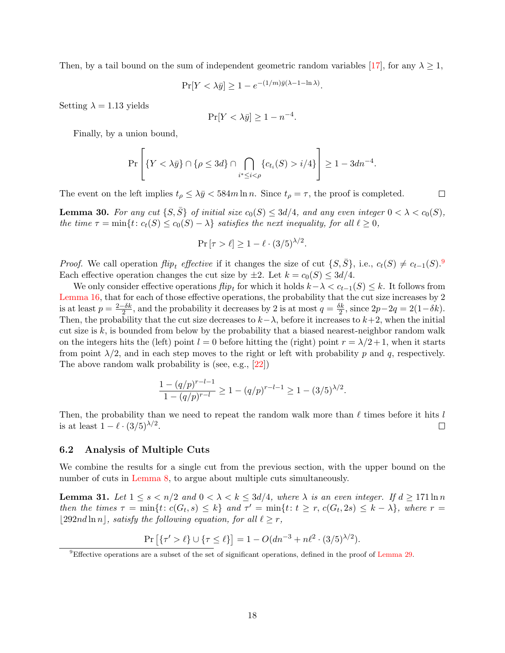Then, by a tail bound on the sum of independent geometric random variables [\[17\]](#page-23-17), for any  $\lambda \geq 1$ ,

$$
\Pr[Y < \lambda \bar{y}] \ge 1 - e^{-(1/m)\bar{y}(\lambda - 1 - \ln \lambda)}.
$$

Setting  $\lambda = 1.13$  yields

$$
\Pr[Y < \lambda \bar{y}] \ge 1 - n^{-4}.
$$

Finally, by a union bound,

$$
\Pr\left[\{Y<\lambda\bar{y}\}\cap\{\rho\leq 3d\}\cap\bigcap_{i^*\leq i<\rho}\{c_{t_i}(S)>i/4\}\right]\geq 1-3dn^{-4}.
$$

The event on the left implies  $t_\rho \leq \lambda \bar{y} < 584m \ln n$ . Since  $t_\rho = \tau$ , the proof is completed.

<span id="page-17-0"></span>**Lemma 30.** For any cut  $\{S, \overline{S}\}\$  of initial size  $c_0(S) \leq 3d/4$ , and any even integer  $0 < \lambda < c_0(S)$ , the time  $\tau = \min\{t: c_t(S) \le c_0(S) - \lambda\}$  satisfies the next inequality, for all  $\ell \ge 0$ ,

$$
\Pr[\tau > \ell] \ge 1 - \ell \cdot (3/5)^{\lambda/2}.
$$

*Proof.* We call operation  $flip_t$  effective if it changes the size of cut  $\{S, \overline{S}\}$ , i.e.,  $c_t(S) \neq c_{t-1}(S)$ .<sup>[9](#page-17-2)</sup> Each effective operation changes the cut size by  $\pm 2$ . Let  $k = c_0(S) \leq 3d/4$ .

We only consider effective operations  $flip_t$  for which it holds  $k - \lambda < c_{t-1}(S) \leq k$ . It follows from [Lemma 16,](#page-9-1) that for each of those effective operations, the probability that the cut size increases by 2 is at least  $p = \frac{2-\delta k}{2}$  $\frac{-\delta k}{2}$ , and the probability it decreases by 2 is at most  $q = \frac{\delta k}{2}$  $\frac{2k}{2}$ , since  $2p - 2q = 2(1 - \delta k)$ . Then, the probability that the cut size decreases to  $k-\lambda$ , before it increases to  $k+2$ , when the initial cut size is  $k$ , is bounded from below by the probability that a biased nearest-neighbor random walk on the integers hits the (left) point  $l = 0$  before hitting the (right) point  $r = \lambda/2 + 1$ , when it starts from point  $\lambda/2$ , and in each step moves to the right or left with probability p and q, respectively. The above random walk probability is (see, e.g., [\[22\]](#page-24-10))

$$
\frac{1 - (q/p)^{r-l-1}}{1 - (q/p)^{r-l}} \ge 1 - (q/p)^{r-l-1} \ge 1 - (3/5)^{\lambda/2}.
$$

Then, the probability than we need to repeat the random walk more than  $\ell$  times before it hits l is at least  $1 - \ell \cdot (3/5)^{\lambda/2}$ .  $\Box$ 

#### 6.2 Analysis of Multiple Cuts

We combine the results for a single cut from the previous section, with the upper bound on the number of cuts in [Lemma 8,](#page-6-0) to argue about multiple cuts simultaneously.

<span id="page-17-1"></span>**Lemma 31.** Let  $1 \leq s < n/2$  and  $0 < \lambda < k \leq 3d/4$ , where  $\lambda$  is an even integer. If  $d \geq 171 \ln n$ then the times  $\tau = \min\{t: c(G_t, s) \leq k\}$  and  $\tau' = \min\{t: t \geq r, c(G_t, 2s) \leq k - \lambda\}$ , where  $r =$  $|292nd \ln n|$ , satisfy the following equation, for all  $\ell \geq r$ ,

$$
\Pr\left[\{\tau' > \ell\} \cup \{\tau \le \ell\}\right] = 1 - O(dn^{-3} + n\ell^2 \cdot (3/5)^{\lambda/2}).
$$

<span id="page-17-2"></span> ${}^{9}$ Effective operations are a subset of the set of significant operations, defined in the proof of [Lemma 29.](#page-16-0)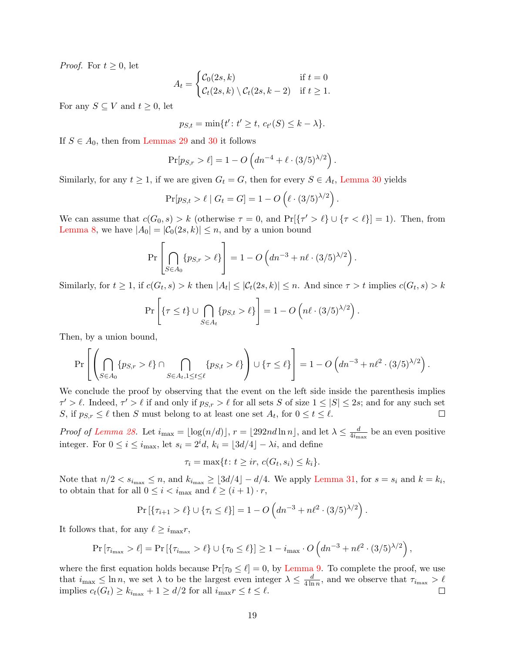*Proof.* For  $t \geq 0$ , let

$$
A_t = \begin{cases} C_0(2s, k) & \text{if } t = 0\\ C_t(2s, k) \setminus C_t(2s, k-2) & \text{if } t \ge 1. \end{cases}
$$

For any  $S \subseteq V$  and  $t \geq 0$ , let

 $p_{S,t} = \min\{t' : t' \ge t, \, c_{t'}(S) \le k - \lambda\}.$ 

If  $S \in A_0$ , then from [Lemmas 29](#page-16-0) and [30](#page-17-0) it follows

$$
Pr[p_{S,r} > \ell] = 1 - O\left(dn^{-4} + \ell \cdot (3/5)^{\lambda/2}\right).
$$

Similarly, for any  $t \geq 1$ , if we are given  $G_t = G$ , then for every  $S \in A_t$ , [Lemma 30](#page-17-0) yields

$$
Pr[p_{S,t} > \ell \mid G_t = G] = 1 - O\left(\ell \cdot (3/5)^{\lambda/2}\right).
$$

We can assume that  $c(G_0, s) > k$  (otherwise  $\tau = 0$ , and  $\Pr[\{\tau' > \ell\} \cup {\tau < \ell}\}] = 1$ ). Then, from [Lemma 8,](#page-6-0) we have  $|A_0| = |\mathcal{C}_0(2s, k)| \leq n$ , and by a union bound

$$
\Pr\left[\bigcap_{S\in A_0} \{p_{S,r} > \ell\}\right] = 1 - O\left(dn^{-3} + n\ell \cdot (3/5)^{\lambda/2}\right).
$$

Similarly, for  $t \geq 1$ , if  $c(G_t, s) > k$  then  $|A_t| \leq |\mathcal{C}_t(2s, k)| \leq n$ . And since  $\tau > t$  implies  $c(G_t, s) > k$ 

$$
\Pr\left[\left\{\tau \leq t\right\} \cup \bigcap_{S \in A_t} \{p_{S,t} > \ell\}\right] = 1 - O\left(n\ell \cdot (3/5)^{\lambda/2}\right).
$$

Then, by a union bound,

$$
\Pr\left[\left(\bigcap_{S\in A_0} \{p_{S,r} > \ell\} \cap \bigcap_{S\in A_t, 1\leq t\leq \ell} \{p_{S,t} > \ell\}\right) \cup \{\tau \leq \ell\}\right] = 1 - O\left(dn^{-3} + n\ell^2 \cdot (3/5)^{\lambda/2}\right).
$$

We conclude the proof by observing that the event on the left side inside the parenthesis implies  $\tau' > \ell$ . Indeed,  $\tau' > \ell$  if and only if  $p_{S,r} > \ell$  for all sets S of size  $1 \leq |S| \leq 2s$ ; and for any such set S, if  $p_{S,r} \leq \ell$  then S must belong to at least one set  $A_t$ , for  $0 \leq t \leq \ell$ .  $\Box$ 

*Proof of [Lemma 28.](#page-15-0)* Let  $i_{\text{max}} = \lfloor \log(n/d) \rfloor$ ,  $r = \lfloor 292nd \ln n \rfloor$ , and let  $\lambda \leq \frac{d}{4i_m}$  $\frac{d}{4i_{\text{max}}}$  be an even positive integer. For  $0 \le i \le i_{\text{max}}$ , let  $s_i = 2^i d$ ,  $k_i = |3d/4| - \lambda i$ , and define

$$
\tau_i = \max\{t \colon t \ge ir, \, c(G_t, s_i) \le k_i\}.
$$

Note that  $n/2 < s_{i_{\text{max}}} \le n$ , and  $k_{i_{\text{max}}} \ge \lfloor 3d/4 \rfloor - d/4$ . We apply [Lemma 31,](#page-17-1) for  $s = s_i$  and  $k = k_i$ , to obtain that for all  $0 \leq i < i_{\text{max}}$  and  $\ell \geq (i+1) \cdot r$ ,

$$
\Pr\left[\{\tau_{i+1} > \ell\} \cup \{\tau_i \le \ell\}\right] = 1 - O\left(dn^{-3} + n\ell^2 \cdot (3/5)^{\lambda/2}\right).
$$

It follows that, for any  $\ell \geq i_{\max}r$ ,

$$
\Pr\left[\tau_{i_{\max}} > \ell\right] = \Pr\left[\left\{\tau_{i_{\max}} > \ell\right\} \cup \left\{\tau_0 \le \ell\right\}\right] \ge 1 - i_{\max} \cdot O\left(dn^{-3} + n\ell^2 \cdot (3/5)^{\lambda/2}\right),
$$

where the first equation holds because  $Pr[\tau_0 \leq \ell] = 0$ , by [Lemma 9.](#page-7-5) To complete the proof, we use that  $i_{\max} \leq \ln n$ , we set  $\lambda$  to be the largest even integer  $\lambda \leq \frac{d}{4 \ln n}$  $\frac{d}{4 \ln n}$ , and we observe that  $\tau_{i_{\text{max}}} > \ell$ implies  $c_t(G_t) \geq k_{i_{\text{max}}} + 1 \geq d/2$  for all  $i_{\text{max}} r \leq t \leq \ell$ .  $\Box$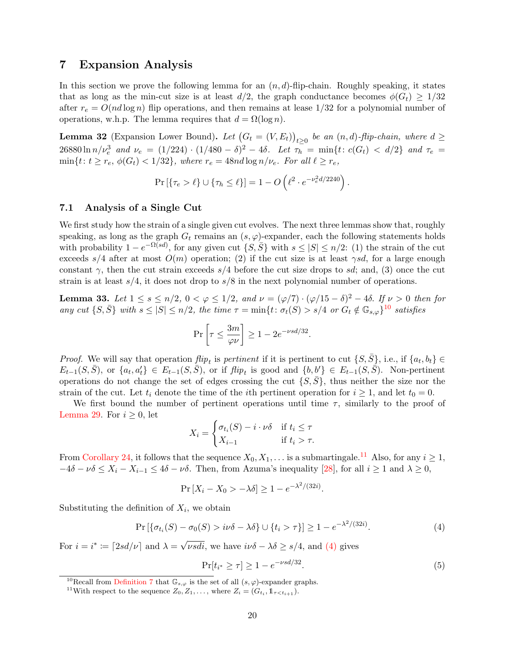## <span id="page-19-2"></span>7 Expansion Analysis

In this section we prove the following lemma for an  $(n, d)$ -flip-chain. Roughly speaking, it states that as long as the min-cut size is at least  $d/2$ , the graph conductance becomes  $\phi(G_t) \geq 1/32$ after  $r_e = O(nd \log n)$  flip operations, and then remains at lease 1/32 for a polynomial number of operations, w.h.p. The lemma requires that  $d = \Omega(\log n)$ .

<span id="page-19-1"></span>**Lemma 32** (Expansion Lower Bound). Let  $(G_t = (V, E_t))_{t \geq 0}$  be an  $(n, d)$ -flip-chain, where  $d \geq$ 26880  $\ln n/\nu_e^3$  and  $\nu_e = (1/224) \cdot (1/480 - \delta)^2 - 4\delta$ . Let  $\tau_h = \min\{t : c(G_t) < d/2\}$  and  $\tau_e =$  $\min\{t: t \geq r_e, \phi(G_t) < 1/32\}, \text{ where } r_e = 48nd \log n/\nu_e. \text{ For all } \ell \geq r_e,$ 

$$
\Pr\left[\left\{\tau_e > \ell\right\} \cup \left\{\tau_h \leq \ell\right\}\right] = 1 - O\left(\ell^2 \cdot e^{-\nu_e^2 d/2240}\right).
$$

## 7.1 Analysis of a Single Cut

We first study how the strain of a single given cut evolves. The next three lemmas show that, roughly speaking, as long as the graph  $G_t$  remains an  $(s, \varphi)$ -expander, each the following statements holds with probability  $1 - e^{-\Omega(\bar{s}d)}$ , for any given cut  $\{S, \bar{S}\}\$  with  $s \leq |S| \leq n/2$ : (1) the strain of the cut exceeds  $s/4$  after at most  $O(m)$  operation; (2) if the cut size is at least  $\gamma sd$ , for a large enough constant  $\gamma$ , then the cut strain exceeds  $s/4$  before the cut size drops to sd; and, (3) once the cut strain is at least  $s/4$ , it does not drop to  $s/8$  in the next polynomial number of operations.

<span id="page-19-0"></span>**Lemma 33.** Let  $1 \leq s \leq n/2$ ,  $0 < \varphi \leq 1/2$ , and  $\nu = (\varphi/7) \cdot (\varphi/15 - \delta)^2 - 4\delta$ . If  $\nu > 0$  then for any cut  $\{S, \bar{S}\}\$  with  $s \leq |S| \leq n/2$ , the time  $\tau = \min\{t : \sigma_t(S) > s/4 \text{ or } G_t \notin \mathbb{G}_{s,\varphi}\}^{10}$  $\tau = \min\{t : \sigma_t(S) > s/4 \text{ or } G_t \notin \mathbb{G}_{s,\varphi}\}^{10}$  $\tau = \min\{t : \sigma_t(S) > s/4 \text{ or } G_t \notin \mathbb{G}_{s,\varphi}\}^{10}$  satisfies

$$
\Pr\left[\tau \le \frac{3m}{\varphi\nu}\right] \ge 1 - 2e^{-\nu sd/32}.
$$

*Proof.* We will say that operation  $flip_t$  is pertinent if it is pertinent to cut  $\{S, \bar{S}\}$ , i.e., if  $\{a_t, b_t\} \in$  $E_{t-1}(S,\overline{S})$ , or  $\{a_t,a'_t\} \in E_{t-1}(S,\overline{S})$ , or if  $flip_t$  is good and  $\{b,b'\} \in E_{t-1}(S,\overline{S})$ . Non-pertinent operations do not change the set of edges crossing the cut  $\{S, \overline{S}\}\,$ , thus neither the size nor the strain of the cut. Let  $t_i$  denote the time of the *i*th pertinent operation for  $i \geq 1$ , and let  $t_0 = 0$ .

We first bound the number of pertinent operations until time  $\tau$ , similarly to the proof of [Lemma 29.](#page-16-0) For  $i \geq 0$ , let

$$
X_i = \begin{cases} \sigma_{t_i}(S) - i \cdot \nu \delta & \text{if } t_i \le \tau \\ X_{i-1} & \text{if } t_i > \tau. \end{cases}
$$

From [Corollary 24,](#page-13-2) it follows that the sequence  $X_0, X_1, \ldots$  is a submartingale.<sup>[11](#page-19-4)</sup> Also, for any  $i \geq 1$ ,  $-4\delta - \nu \delta \leq X_i - X_{i-1} \leq 4\delta - \nu \delta$ . Then, from Azuma's inequality [\[28\]](#page-24-9), for all  $i \geq 1$  and  $\lambda \geq 0$ ,

$$
\Pr\left[X_i - X_0 > -\lambda \delta\right] \ge 1 - e^{-\lambda^2/(32i)}.
$$

Substituting the definition of  $X_i$ , we obtain

<span id="page-19-5"></span>
$$
\Pr\left[\{\sigma_{t_i}(S) - \sigma_0(S) > i\nu\delta - \lambda\delta\} \cup \{t_i > \tau\}\right] \ge 1 - e^{-\lambda^2/(32i)}.\tag{4}
$$

For  $i = i^* \coloneqq \lceil 2sd/\nu \rceil$  and  $\lambda =$ *vsdi*, we have  $i\nu\delta - \lambda\delta \geq s/4$ , and [\(4\)](#page-19-5) gives

<span id="page-19-6"></span>
$$
\Pr[t_{i^*} \ge \tau] \ge 1 - e^{-\nu s d/32}.\tag{5}
$$

<span id="page-19-3"></span><sup>&</sup>lt;sup>10</sup>Recall from [Definition 7](#page-5-1) that  $\mathbb{G}_{s,\varphi}$  is the set of all  $(s,\varphi)$ -expander graphs.

<span id="page-19-4"></span><sup>&</sup>lt;sup>11</sup>With respect to the sequence  $Z_0, Z_1, \ldots$ , where  $Z_i = (G_{t_i}, \mathbb{1}_{\tau < t_{i+1}})$ .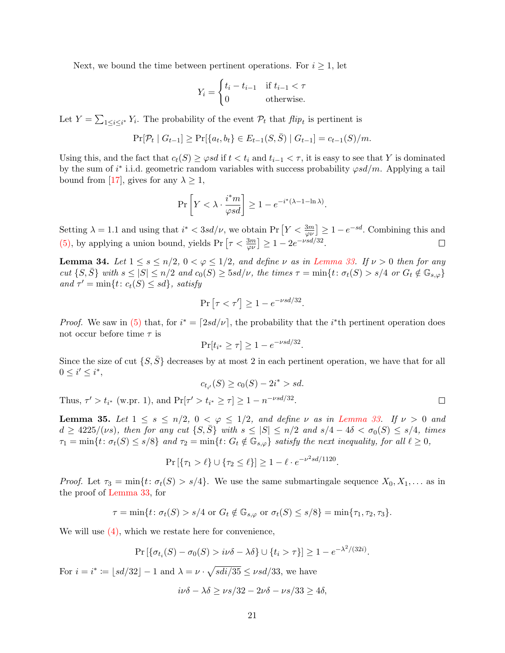Next, we bound the time between pertinent operations. For  $i \geq 1$ , let

$$
Y_i = \begin{cases} t_i - t_{i-1} & \text{if } t_{i-1} < \tau \\ 0 & \text{otherwise.} \end{cases}
$$

Let  $Y = \sum_{1 \leq i \leq i^*} Y_i$ . The probability of the event  $\mathcal{P}_t$  that  $f_i$  is pertinent is

$$
\Pr[\mathcal{P}_t | G_{t-1}] \ge \Pr[\{a_t, b_t\} \in E_{t-1}(S, \bar{S}) | G_{t-1}] = c_{t-1}(S)/m.
$$

Using this, and the fact that  $c_t(S) \geq \varphi sd$  if  $t < t_i$  and  $t_{i-1} < \tau$ , it is easy to see that Y is dominated by the sum of  $i^*$  i.i.d. geometric random variables with success probability  $\varphi s d/m$ . Applying a tail bound from [\[17\]](#page-23-17), gives for any  $\lambda \geq 1$ ,

$$
\Pr\left[Y < \lambda \cdot \frac{i^*m}{\varphi sd}\right] \ge 1 - e^{-i^* (\lambda - 1 - \ln \lambda)}.
$$

Setting  $\lambda = 1.1$  and using that  $i^* < 3sd/\nu$ , we obtain  $\Pr\left[Y < \frac{3m}{\varphi \nu}\right] \ge 1 - e^{-sd}$ . Combining this and [\(5\),](#page-19-6) by applying a union bound, yields  $Pr\left[\tau < \frac{3m}{\varphi \nu}\right] \geq 1 - 2e^{-\nu sd/32}$ .  $\Box$ 

<span id="page-20-1"></span>**Lemma 34.** Let  $1 \leq s \leq n/2$ ,  $0 < \varphi \leq 1/2$ , and define  $\nu$  as in [Lemma 33.](#page-19-0) If  $\nu > 0$  then for any cut  $\{S, \overline{S}\}\$  with  $s \leq |S| \leq n/2$  and  $c_0(S) \geq 5sd/\nu$ , the times  $\tau = \min\{t : \sigma_t(S) > s/4 \text{ or } G_t \notin \mathbb{G}_{s,\varphi}\}\$ and  $\tau' = \min\{t : c_t(S) \le sd\}$ , satisfy

$$
\Pr\left[\tau < \tau'\right] \ge 1 - e^{-\nu sd/32}.
$$

*Proof.* We saw in [\(5\)](#page-19-6) that, for  $i^* = [2sd/\nu]$ , the probability that the  $i^*$ th pertinent operation does not occur before time  $\tau$  is

$$
\Pr[t_{i^*} \ge \tau] \ge 1 - e^{-\nu sd/32}.
$$

Since the size of cut  $\{S, \bar{S}\}$  decreases by at most 2 in each pertinent operation, we have that for all  $0 \leq i' \leq i^*,$ 

$$
c_{t_{i'}}(S) \ge c_0(S) - 2i^* > sd.
$$

Thus,  $\tau' > t_{i^*}$  (w.pr. 1), and  $\Pr[\tau' > t_{i^*} \ge \tau] \ge 1 - n^{-\nu sd/32}$ .

<span id="page-20-0"></span>**Lemma 35.** Let  $1 \leq s \leq n/2$ ,  $0 < \varphi \leq 1/2$ , and define  $\nu$  as in [Lemma 33.](#page-19-0) If  $\nu > 0$  and  $d \geq 4225/(\nu s)$ , then for any cut  $\{S, \overline{S}\}\$  with  $s \leq |S| \leq n/2$  and  $s/4 - 4\delta < \sigma_0(S) \leq s/4$ , times  $\tau_1 = \min\{t: \sigma_t(S) \le s/8\}$  and  $\tau_2 = \min\{t: G_t \notin \mathbb{G}_{s,\varphi}\}\$  satisfy the next inequality, for all  $\ell \ge 0$ ,

$$
\Pr\left[\{\tau_1 > \ell\} \cup \{\tau_2 \le \ell\}\right] \ge 1 - \ell \cdot e^{-\nu^2 s d / 1120}
$$

.

*Proof.* Let  $\tau_3 = \min\{t: \sigma_t(S) > s/4\}$ . We use the same submartingale sequence  $X_0, X_1, \ldots$  as in the proof of [Lemma 33,](#page-19-0) for

$$
\tau = \min\{t \colon \sigma_t(S) > s/4 \text{ or } G_t \notin \mathbb{G}_{s,\varphi} \text{ or } \sigma_t(S) \le s/8\} = \min\{\tau_1, \tau_2, \tau_3\}.
$$

We will use  $(4)$ , which we restate here for convenience,

$$
\Pr\left[\{\sigma_{t_i}(S) - \sigma_0(S) > i\nu\delta - \lambda\delta\} \cup \{t_i > \tau\}\right] \ge 1 - e^{-\lambda^2/(32i)}.
$$

For  $i = i^* := |sd/32| - 1$  and  $\lambda = \nu \cdot \sqrt{sdi/35} \le \nu sd/33$ , we have

$$
i\nu\delta - \lambda\delta \ge \nu s/32 - 2\nu\delta - \nu s/33 \ge 4\delta,
$$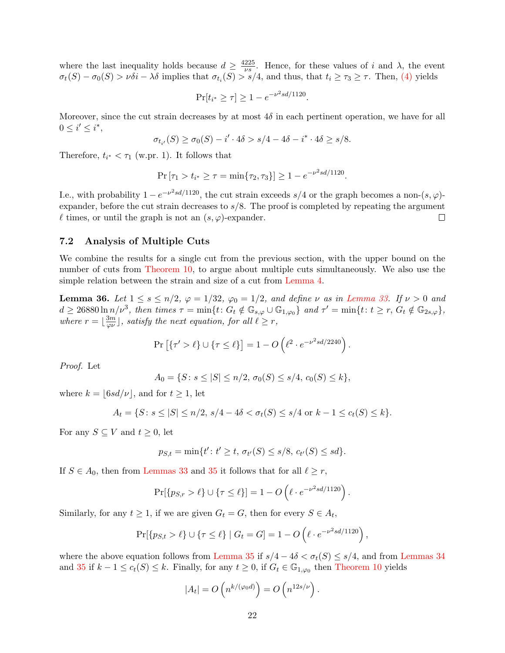where the last inequality holds because  $d \geq \frac{4225}{\nu s}$  $\frac{225}{100}$ . Hence, for these values of i and  $\lambda$ , the event  $\sigma_t(S) - \sigma_0(S) > \nu \delta i - \lambda \delta$  implies that  $\sigma_{t_i}(S) > s/4$ , and thus, that  $t_i \geq \tau_3 \geq \tau$ . Then, [\(4\)](#page-19-5) yields

$$
\Pr[t_{i^*} \ge \tau] \ge 1 - e^{-\nu^2 sd/1120}.
$$

Moreover, since the cut strain decreases by at most  $4\delta$  in each pertinent operation, we have for all  $0 \leq i' \leq i^*,$ 

$$
\sigma_{t_{i'}}(S) \ge \sigma_0(S) - i' \cdot 4\delta > s/4 - 4\delta - i^* \cdot 4\delta \ge s/8.
$$

Therefore,  $t_{i^*} < \tau_1$  (w.pr. 1). It follows that

$$
\Pr[\tau_1 > t_{i^*} \ge \tau = \min\{\tau_2, \tau_3\}] \ge 1 - e^{-\nu^2 s d / 1120}.
$$

I.e., with probability  $1 - e^{-\nu^2 sd/1120}$ , the cut strain exceeds  $s/4$  or the graph becomes a non- $(s, \varphi)$ expander, before the cut strain decreases to  $s/8$ . The proof is completed by repeating the argument  $\ell$  times, or until the graph is not an  $(s, \varphi)$ -expander.  $\Box$ 

### 7.2 Analysis of Multiple Cuts

We combine the results for a single cut from the previous section, with the upper bound on the number of cuts from [Theorem 10,](#page-7-1) to argue about multiple cuts simultaneously. We also use the simple relation between the strain and size of a cut from [Lemma 4.](#page-5-0)

<span id="page-21-0"></span>**Lemma 36.** Let  $1 \leq s \leq n/2$ ,  $\varphi = 1/32$ ,  $\varphi_0 = 1/2$ , and define  $\nu$  as in [Lemma 33.](#page-19-0) If  $\nu > 0$  and  $d \geq 26880 \ln n/\nu^3$ , then times  $\tau = \min\{t: G_t \notin \mathbb{G}_{s,\varphi} \cup \mathbb{G}_{1,\varphi_0}\}\$  and  $\tau' = \min\{t: t \geq r, G_t \notin \mathbb{G}_{2s,\varphi}\}\$ , where  $r = \frac{3m}{2M}$  $\frac{3m}{\varphi\nu}$ , satisfy the next equation, for all  $\ell \geq r$ ,

$$
\Pr\left[\left\{\tau' > \ell\right\} \cup \left\{\tau \leq \ell\right\}\right] = 1 - O\left(\ell^2 \cdot e^{-\nu^2 s d/2240}\right).
$$

Proof. Let

$$
A_0 = \{ S \colon s \le |S| \le n/2, \sigma_0(S) \le s/4, c_0(S) \le k \},\
$$

where  $k = |6sd/\nu|$ , and for  $t \geq 1$ , let

$$
A_t = \{ S \colon s \le |S| \le n/2, \, s/4 - 4\delta < \sigma_t(S) \le s/4 \, \text{or} \, k - 1 \le c_t(S) \le k \}.
$$

For any  $S \subseteq V$  and  $t \geq 0$ , let

$$
p_{S,t} = \min\{t' : t' \ge t, \sigma_{t'}(S) \le s/8, c_{t'}(S) \le sd\}.
$$

If  $S \in A_0$ , then from [Lemmas 33](#page-19-0) and [35](#page-20-0) it follows that for all  $\ell \geq r$ ,

$$
\Pr[\{p_{S,r} > \ell\} \cup \{\tau \leq \ell\}] = 1 - O\left(\ell \cdot e^{-\nu^2 s d/1120}\right).
$$

Similarly, for any  $t \geq 1$ , if we are given  $G_t = G$ , then for every  $S \in A_t$ ,

$$
\Pr[\{p_{S,t} > \ell\} \cup \{\tau \leq \ell\} \mid G_t = G] = 1 - O\left(\ell \cdot e^{-\nu^2 s d/1120}\right),\,
$$

where the above equation follows from [Lemma 35](#page-20-0) if  $s/4 - 4\delta < \sigma_t(S) \leq s/4$ , and from [Lemmas 34](#page-20-1) and [35](#page-20-0) if  $k-1 \leq c_t(S) \leq k$ . Finally, for any  $t \geq 0$ , if  $G_t \in \mathbb{G}_{1,\varphi_0}$  then [Theorem 10](#page-7-1) yields

$$
|A_t| = O\left(n^{k/(\varphi_0 d)}\right) = O\left(n^{12s/\nu}\right).
$$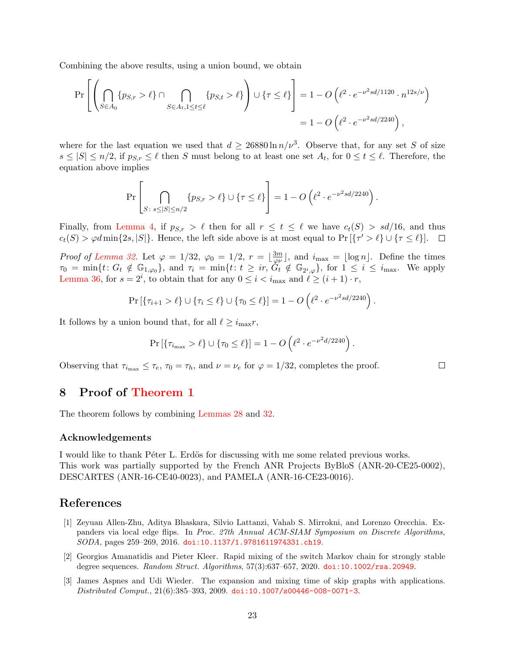Combining the above results, using a union bound, we obtain

$$
\Pr\left[\left(\bigcap_{S\in A_0} \{p_{S,r} > \ell\} \cap \bigcap_{S\in A_t, 1 \le t \le \ell} \{p_{S,t} > \ell\}\right) \cup \{\tau \le \ell\}\right] = 1 - O\left(\ell^2 \cdot e^{-\nu^2 sd/1120} \cdot n^{12s/\nu}\right)
$$

$$
= 1 - O\left(\ell^2 \cdot e^{-\nu^2 sd/2240}\right),
$$

where for the last equation we used that  $d \geq 26880 \ln n/\nu^3$ . Observe that, for any set S of size  $s \leq |S| \leq n/2$ , if  $p_{S,r} \leq \ell$  then S must belong to at least one set  $A_t$ , for  $0 \leq t \leq \ell$ . Therefore, the equation above implies

$$
\Pr\left[\bigcap_{S:\;s\le|S|\le n/2} \{p_{S,r} > \ell\} \cup \{\tau \le \ell\}\right] = 1 - O\left(\ell^2 \cdot e^{-\nu^2 sd/2240}\right).
$$

Finally, from [Lemma 4,](#page-5-0) if  $p_{S,r} > \ell$  then for all  $r \le t \le \ell$  we have  $c_t(S) > sd/16$ , and thus  $c_t(S) > \varphi d \min\{2s, |S|\}.$  Hence, the left side above is at most equal to  $\Pr\left[\{\tau > \ell\} \cup \{\tau \leq \ell\}\right].$ 

Proof of [Lemma 32.](#page-19-1) Let  $\varphi = 1/32$ ,  $\varphi_0 = 1/2$ ,  $r = \lfloor \frac{3m}{\varphi \nu} \rfloor$  $\frac{3m}{\varphi\nu}$ , and  $i_{\max} = \lfloor \log n \rfloor$ . Define the times  $\tau_0 = \min\{t: G_t \notin \mathbb{G}_{1,\varphi_0}\},\$  and  $\tau_i = \min\{t: t \ge ir, \widetilde{G}_t \notin \mathbb{G}_{2^i,\varphi}\},\$  for  $1 \le i \le i_{\max}$ . We apply [Lemma 36,](#page-21-0) for  $s = 2^i$ , to obtain that for any  $0 \leq i < i_{\text{max}}$  and  $\ell \geq (i+1) \cdot r$ ,

$$
\Pr\left[\{\tau_{i+1} > \ell\} \cup \{\tau_i \leq \ell\} \cup \{\tau_0 \leq \ell\}\right] = 1 - O\left(\ell^2 \cdot e^{-\nu^2 sd/2240}\right).
$$

It follows by a union bound that, for all  $\ell \geq i_{\max}r$ ,

$$
\Pr\left[\{\tau_{i_{\max}} > \ell\} \cup \{\tau_0 \le \ell\}\right] = 1 - O\left(\ell^2 \cdot e^{-\nu^2 d/2240}\right).
$$

 $\Box$ 

Observing that  $\tau_{i_{\text{max}}} \leq \tau_e$ ,  $\tau_0 = \tau_h$ , and  $\nu = \nu_e$  for  $\varphi = 1/32$ , completes the proof.

## 8 Proof of [Theorem 1](#page-2-2)

The theorem follows by combining [Lemmas 28](#page-15-0) and [32.](#page-19-1)

### Acknowledgements

I would like to thank Péter L. Erdös for discussing with me some related previous works. This work was partially supported by the French ANR Projects ByBloS (ANR-20-CE25-0002), DESCARTES (ANR-16-CE40-0023), and PAMELA (ANR-16-CE23-0016).

## References

- <span id="page-22-0"></span>[1] Zeyuan Allen-Zhu, Aditya Bhaskara, Silvio Lattanzi, Vahab S. Mirrokni, and Lorenzo Orecchia. Expanders via local edge flips. In Proc. 27th Annual ACM-SIAM Symposium on Discrete Algorithms, SODA, pages 259–269, 2016. [doi:10.1137/1.9781611974331.ch19](https://doi.org/10.1137/1.9781611974331.ch19).
- <span id="page-22-1"></span>[2] Georgios Amanatidis and Pieter Kleer. Rapid mixing of the switch Markov chain for strongly stable degree sequences. Random Struct. Algorithms, 57(3):637–657, 2020. [doi:10.1002/rsa.20949](https://doi.org/10.1002/rsa.20949).
- <span id="page-22-2"></span>[3] James Aspnes and Udi Wieder. The expansion and mixing time of skip graphs with applications. Distributed Comput., 21(6):385–393, 2009. [doi:10.1007/s00446-008-0071-3](https://doi.org/10.1007/s00446-008-0071-3).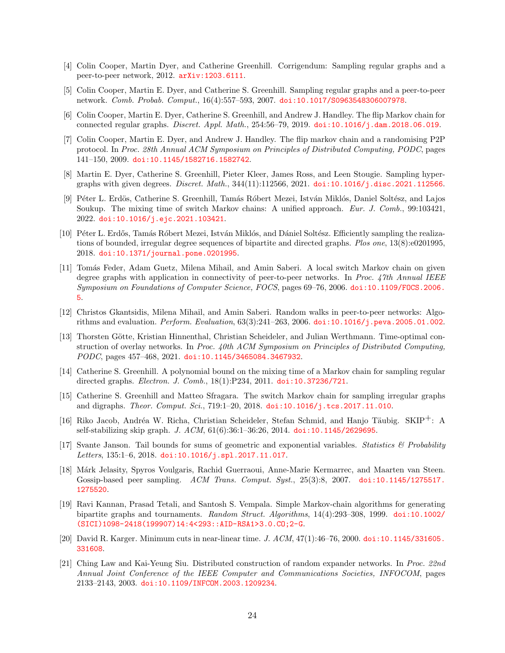- <span id="page-23-13"></span>[4] Colin Cooper, Martin Dyer, and Catherine Greenhill. Corrigendum: Sampling regular graphs and a peer-to-peer network, 2012. [arXiv:1203.6111](http://arxiv.org/abs/1203.6111).
- <span id="page-23-5"></span>[5] Colin Cooper, Martin E. Dyer, and Catherine S. Greenhill. Sampling regular graphs and a peer-to-peer network. Comb. Probab. Comput., 16(4):557–593, 2007. [doi:10.1017/S0963548306007978](https://doi.org/10.1017/S0963548306007978).
- <span id="page-23-1"></span>[6] Colin Cooper, Martin E. Dyer, Catherine S. Greenhill, and Andrew J. Handley. The flip Markov chain for connected regular graphs. Discret. Appl. Math., 254:56–79, 2019. [doi:10.1016/j.dam.2018.06.019](https://doi.org/10.1016/j.dam.2018.06.019).
- <span id="page-23-14"></span>[7] Colin Cooper, Martin E. Dyer, and Andrew J. Handley. The flip markov chain and a randomising P2P protocol. In Proc. 28th Annual ACM Symposium on Principles of Distributed Computing, PODC, pages 141–150, 2009. [doi:10.1145/1582716.1582742](https://doi.org/10.1145/1582716.1582742).
- <span id="page-23-10"></span>[8] Martin E. Dyer, Catherine S. Greenhill, Pieter Kleer, James Ross, and Leen Stougie. Sampling hypergraphs with given degrees. Discret. Math., 344(11):112566, 2021. [doi:10.1016/j.disc.2021.112566](https://doi.org/10.1016/j.disc.2021.112566).
- <span id="page-23-11"></span>[9] Péter L. Erdös, Catherine S. Greenhill, Tamás Róbert Mezei, István Miklós, Daniel Soltész, and Lajos Soukup. The mixing time of switch Markov chains: A unified approach. Eur. J. Comb., 99:103421, 2022. [doi:10.1016/j.ejc.2021.103421](https://doi.org/10.1016/j.ejc.2021.103421).
- <span id="page-23-8"></span>[10] Péter L. Erdős, Tamás Róbert Mezei, István Miklós, and Dániel Soltész. Efficiently sampling the realizations of bounded, irregular degree sequences of bipartite and directed graphs. Plos one, 13(8):e0201995, 2018. [doi:10.1371/journal.pone.0201995](https://doi.org/10.1371/journal.pone.0201995).
- <span id="page-23-0"></span>[11] Tomás Feder, Adam Guetz, Milena Mihail, and Amin Saberi. A local switch Markov chain on given degree graphs with application in connectivity of peer-to-peer networks. In Proc. 47th Annual IEEE Symposium on Foundations of Computer Science, FOCS, pages 69–76, 2006. [doi:10.1109/FOCS.2006.](https://doi.org/10.1109/FOCS.2006.5) [5](https://doi.org/10.1109/FOCS.2006.5).
- <span id="page-23-3"></span>[12] Christos Gkantsidis, Milena Mihail, and Amin Saberi. Random walks in peer-to-peer networks: Algorithms and evaluation. Perform. Evaluation, 63(3):241–263, 2006. [doi:10.1016/j.peva.2005.01.002](https://doi.org/10.1016/j.peva.2005.01.002).
- <span id="page-23-4"></span>[13] Thorsten Götte, Kristian Hinnenthal, Christian Scheideler, and Julian Werthmann. Time-optimal construction of overlay networks. In Proc. 40th ACM Symposium on Principles of Distributed Computing, PODC, pages 457–468, 2021. [doi:10.1145/3465084.3467932](https://doi.org/10.1145/3465084.3467932).
- <span id="page-23-7"></span>[14] Catherine S. Greenhill. A polynomial bound on the mixing time of a Markov chain for sampling regular directed graphs. Electron. J. Comb., 18(1):P234, 2011. [doi:10.37236/721](https://doi.org/10.37236/721).
- <span id="page-23-9"></span>[15] Catherine S. Greenhill and Matteo Sfragara. The switch Markov chain for sampling irregular graphs and digraphs. Theor. Comput. Sci., 719:1–20, 2018. [doi:10.1016/j.tcs.2017.11.010](https://doi.org/10.1016/j.tcs.2017.11.010).
- <span id="page-23-15"></span>[16] Riko Jacob, Andréa W. Richa, Christian Scheideler, Stefan Schmid, and Hanjo Täubig. SKIP<sup>+</sup>: A self-stabilizing skip graph. J. ACM, 61(6):36:1–36:26, 2014. [doi:10.1145/2629695](https://doi.org/10.1145/2629695).
- <span id="page-23-17"></span>[17] Svante Janson. Tail bounds for sums of geometric and exponential variables. Statistics  $\mathcal{C}$  Probability Letters, 135:1–6, 2018. [doi:10.1016/j.spl.2017.11.017](https://doi.org/10.1016/j.spl.2017.11.017).
- <span id="page-23-6"></span>[18] M´ark Jelasity, Spyros Voulgaris, Rachid Guerraoui, Anne-Marie Kermarrec, and Maarten van Steen. Gossip-based peer sampling. ACM Trans. Comput. Syst., 25(3):8, 2007. [doi:10.1145/1275517.](https://doi.org/10.1145/1275517.1275520) [1275520](https://doi.org/10.1145/1275517.1275520).
- <span id="page-23-12"></span>[19] Ravi Kannan, Prasad Tetali, and Santosh S. Vempala. Simple Markov-chain algorithms for generating bipartite graphs and tournaments. Random Struct. Algorithms, 14(4):293–308, 1999. [doi:10.1002/](https://doi.org/10.1002/(SICI)1098-2418(199907)14:4<293::AID-RSA1>3.0.CO;2-G) [\(SICI\)1098-2418\(199907\)14:4<293::AID-RSA1>3.0.CO;2-G](https://doi.org/10.1002/(SICI)1098-2418(199907)14:4<293::AID-RSA1>3.0.CO;2-G).
- <span id="page-23-16"></span>[20] David R. Karger. Minimum cuts in near-linear time. J. ACM, 47(1):46–76, 2000. [doi:10.1145/331605.](https://doi.org/10.1145/331605.331608) [331608](https://doi.org/10.1145/331605.331608).
- <span id="page-23-2"></span>[21] Ching Law and Kai-Yeung Siu. Distributed construction of random expander networks. In Proc. 22nd Annual Joint Conference of the IEEE Computer and Communications Societies, INFOCOM, pages 2133–2143, 2003. [doi:10.1109/INFCOM.2003.1209234](https://doi.org/10.1109/INFCOM.2003.1209234).